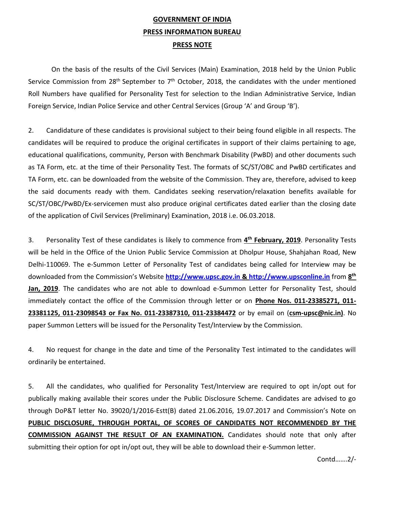# **GOVERNMENT OF INDIA PRESS INFORMATION BUREAU PRESS NOTE**

On the basis of the results of the Civil Services (Main) Examination, 2018 held by the Union Public Service Commission from 28<sup>th</sup> September to 7<sup>th</sup> October, 2018, the candidates with the under mentioned Roll Numbers have qualified for Personality Test for selection to the Indian Administrative Service, Indian Foreign Service, Indian Police Service and other Central Services (Group 'A' and Group 'B').

2. Candidature of these candidates is provisional subject to their being found eligible in all respects. The candidates will be required to produce the original certificates in support of their claims pertaining to age, educational qualifications, community, Person with Benchmark Disability (PwBD) and other documents such as TA Form, etc. at the time of their Personality Test. The formats of SC/ST/OBC and PwBD certificates and TA Form, etc. can be downloaded from the website of the Commission. They are, therefore, advised to keep the said documents ready with them. Candidates seeking reservation/relaxation benefits available for SC/ST/OBC/PwBD/Ex-servicemen must also produce original certificates dated earlier than the closing date of the application of Civil Services (Preliminary) Examination, 2018 i.e. 06.03.2018.

3. Personality Test of these candidates is likely to commence from **4 th February, 2019**. Personality Tests will be held in the Office of the Union Public Service Commission at Dholpur House, Shahjahan Road, New Delhi-110069. The e-Summon Letter of Personality Test of candidates being called for Interview may be downloaded from the Commission's Website **http://www.upsc.gov.in & [http://www.upsconline.in](http://www.upsc.gov.in/)** from **8 th Jan, 2019**. The candidates who are not able to download e-Summon Letter for Personality Test, should immediately contact the office of the Commission through letter or on **Phone Nos. 011-23385271, 011- 23381125, 011-23098543 or Fax No. 011-23387310, 011-23384472** or by email on (**csm-upsc@nic.in)**. No paper Summon Letters will be issued for the Personality Test/Interview by the Commission.

4. No request for change in the date and time of the Personality Test intimated to the candidates will ordinarily be entertained.

5. All the candidates, who qualified for Personality Test/Interview are required to opt in/opt out for publically making available their scores under the Public Disclosure Scheme. Candidates are advised to go through DoP&T letter No. 39020/1/2016-Estt(B) dated 21.06.2016, 19.07.2017 and Commission's Note on **PUBLIC DISCLOSURE, THROUGH PORTAL, OF SCORES OF CANDIDATES NOT RECOMMENDED BY THE COMMISSION AGAINST THE RESULT OF AN EXAMINATION.** Candidates should note that only after submitting their option for opt in/opt out, they will be able to download their e-Summon letter.

Contd…….2/-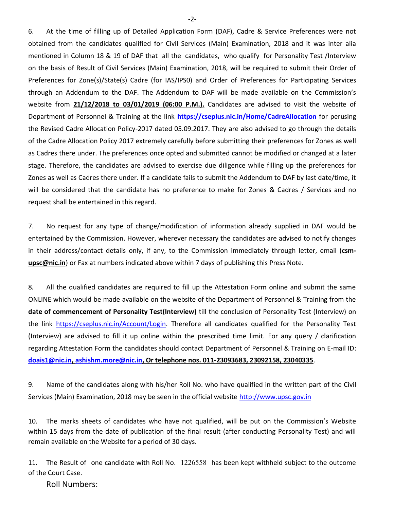6. At the time of filling up of Detailed Application Form (DAF), Cadre & Service Preferences were not obtained from the candidates qualified for Civil Services (Main) Examination, 2018 and it was inter alia mentioned in Column 18 & 19 of DAF that all the candidates, who qualify for Personality Test /Interview on the basis of Result of Civil Services (Main) Examination, 2018, will be required to submit their Order of Preferences for Zone(s)/State(s) Cadre (for IAS/IPS0) and Order of Preferences for Participating Services through an Addendum to the DAF. The Addendum to DAF will be made available on the Commission's website from **21/12/2018 to 03/01/2019 (06:00 P.M.).** Candidates are advised to visit the website of Department of Personnel & Training at the link **<https://cseplus.nic.in/Home/CadreAllocation>** for perusing the Revised Cadre Allocation Policy-2017 dated 05.09.2017. They are also advised to go through the details of the Cadre Allocation Policy 2017 extremely carefully before submitting their preferences for Zones as well as Cadres there under. The preferences once opted and submitted cannot be modified or changed at a later stage. Therefore, the candidates are advised to exercise due diligence while filling up the preferences for Zones as well as Cadres there under. If a candidate fails to submit the Addendum to DAF by last date/time, it will be considered that the candidate has no preference to make for Zones & Cadres / Services and no request shall be entertained in this regard.

7. No request for any type of change/modification of information already supplied in DAF would be entertained by the Commission. However, wherever necessary the candidates are advised to notify changes in their address/contact details only, if any, to the Commission immediately through letter, email (**csmupsc@nic.in**) or Fax at numbers indicated above within 7 days of publishing this Press Note*.*

8*.* All the qualified candidates are required to fill up the Attestation Form online and submit the same ONLINE which would be made available on the website of the Department of Personnel & Training from the **date of commencement of Personality Test(Interview)** till the conclusion of Personality Test (Interview) on the link [https://cseplus.nic.in/Account/Login.](https://cseplus.nic.in/Account/Login) Therefore all candidates qualified for the Personality Test (Interview) are advised to fill it up online within the prescribed time limit. For any query / clarification regarding Attestation Form the candidates should contact Department of Personnel & Training on E-mail ID: **[doais1@nic.in,](mailto:doais1@nic.in) [ashishm.more@nic.in,](mailto:ashishm.more@nic.in) Or telephone nos. 011-23093683, 23092158, 23040335**.

9. Name of the candidates along with his/her Roll No. who have qualified in the written part of the Civil Services (Main) Examination, 2018 may be seen in the official website [http://www.upsc.gov.in](http://www.upsc.gov.in/)

10. The marks sheets of candidates who have not qualified, will be put on the Commission's Website within 15 days from the date of publication of the final result (after conducting Personality Test) and will remain available on the Website for a period of 30 days.

11. The Result of one candidate with Roll No. 1226558 has been kept withheld subject to the outcome of the Court Case.

Roll Numbers: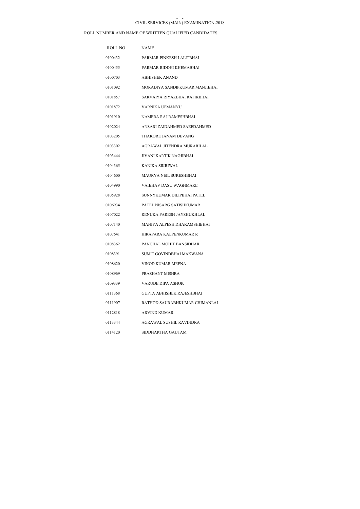#### CIVIL SERVICES (MAIN) EXAMINATION-2018 - 1 -

| ROLL NO. | <b>NAME</b>                    |
|----------|--------------------------------|
| 0100432  | PARMAR PINKESH LALITBHAI       |
| 0100455  | PARMAR RIDDHI KHEMABHAI        |
| 0100703  | <b>ABHISHEK ANAND</b>          |
| 0101092  | MORADIYA SANDIPKUMAR MANJIBHAI |
| 0101857  | SARVAIYA RIYAZBHAI RAFIKBHAI   |
| 0101872  | VARNIKA UPMANYU                |
| 0101910  | NAMERA RAJ RAMESHBHAI          |
| 0102024  | ANSARI ZAIDAHMED SAEEDAHMED    |
| 0103205  | THAKORE JANAM DEVANG           |
| 0103302  | AGRAWAL JITENDRA MURARILAL     |
| 0103444  | JIVANI KARTIK NAGJIBHAI        |
| 0104365  | KANIKA SIKRIWAL                |
| 0104600  | MAURYA NEIL SURESHBHAI         |
| 0104990  | <b>VAIBHAV DASU WAGHMARE</b>   |
| 0105928  | SUNNYKUMAR DILIPBHAI PATEL     |
| 0106934  | PATEL NISARG SATISHKUMAR       |
| 0107022  | RENUKA PARESH JAYSHUKHLAL      |
| 0107140  | MANIYA ALPESH DHARAMSHIBHAI    |
| 0107641  | HIRAPARA KALPENKUMAR R         |
| 0108362  | PANCHAL MOHIT BANSIDHAR        |
| 0108391  | SUMIT GOVINDBHAI MAKWANA       |
| 0108620  | VINOD KUMAR MEENA              |
| 0108969  | PRASHANT MISHRA                |
| 0109339  | VARUDE DIPA ASHOK              |
| 0111368  | GUPTA ABHISHEK RAJESHBHAI      |
| 0111907  | RATHOD SAURABHKUMAR CHIMANLAL  |
| 0112818  | ARVIND KUMAR                   |
| 0113344  | AGRAWAL SUSHIL RAVINDRA        |
| 0114120  | SIDDHARTHA GAUTAM              |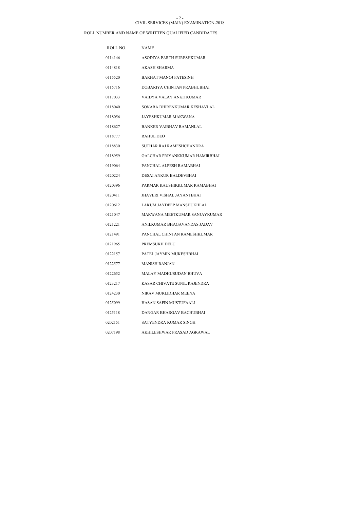#### CIVIL SERVICES (MAIN) EXAMINATION-2018 - 2 -

| ROLL NO. | <b>NAME</b>                      |
|----------|----------------------------------|
| 0114146  | ASODIYA PARTH SURESHKUMAR        |
| 0114818  | AKASH SHARMA                     |
| 0115520  | <b>BARHAT MANOJ FATESINH</b>     |
| 0115716  | DOBARIYA CHINTAN PRABHUBHAI      |
| 0117033  | VAIDYA VALAY ANKITKUMAR          |
| 0118040  | SONARA DHIRENKUMAR KESHAVLAL     |
| 0118056  | JAYESHKUMAR MAKWANA              |
| 0118627  | BANKER VAIBHAV RAMANLAL          |
| 0118777  | <b>RAHUL DEO</b>                 |
| 0118830  | SUTHAR RAJ RAMESHCHANDRA         |
| 0118959  | GALCHAR PRIYANKKUMAR HAMIRBHAI   |
| 0119064  | PANCHAL ALPESH RAMABHAI          |
| 0120224  | DESAI ANKUR BALDEVBHAI           |
| 0120396  | PARMAR KAUSHIKKUMAR RAMABHAI     |
| 0120411  | <b>JHAVERI VISHAL JAYANTBHAI</b> |
| 0120612  | LAKUM JAYDEEP MANSHUKHLAL        |
| 0121047  | MAKWANA MEETKUMAR SANJAYKUMAR    |
| 0121221  | ANILKUMAR BHAGAVANDAS JADAV      |
| 0121491  | PANCHAL CHINTAN RAMESHKUMAR      |
| 0121965  | PREMSUKH DELU                    |
| 0122157  | PATEL JAYMIN MUKESHBHAI          |
| 0122577  | <b>MANISH RANJAN</b>             |
| 0122652  | MALAY MADHUSUDAN BHUVA           |
| 0123217  | KASAR CHIVATE SUNIL RAJENDRA     |
| 0124230  | NIRAV MURLIDHAR MEENA            |
| 0125099  | HASAN SAFIN MUSTUFAALI           |
| 0125118  | DANGAR BHARGAV BACHUBHAI         |
| 0202151  | SATYENDRA KUMAR SINGH            |
| 0207198  | AKHILESHWAR PRASAD AGRAWAL       |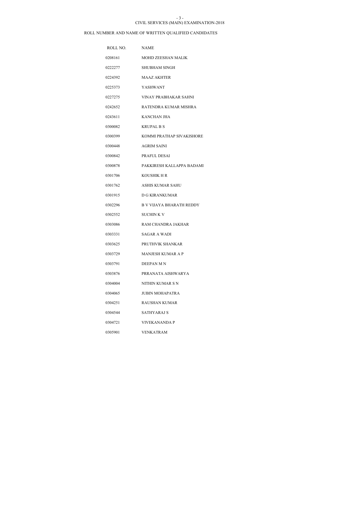#### CIVIL SERVICES (MAIN) EXAMINATION-2018 - 3 -

| ROLL NO. | <b>NAME</b>                     |
|----------|---------------------------------|
| 0208161  | <b>MOHD ZEESHAN MALIK</b>       |
| 0222277  | <b>SHUBHAM SINGH</b>            |
| 0224392  | <b>MAAZ AKHTER</b>              |
| 0225373  | <b>YASHWANT</b>                 |
| 0227275  | VINAY PRABHAKAR SAHNI           |
| 0242652  | RATENDRA KUMAR MISHRA           |
| 0243611  | KANCHAN JHA                     |
| 0300082  | <b>KRUPAL B S</b>               |
| 0300399  | KOMMI PRATHAP SIVAKISHORE       |
| 0300448  | <b>AGRIM SAINI</b>              |
| 0300842  | PRAFUL DESAI                    |
| 0300878  | PAKKIRESH KALLAPPA BADAMI       |
| 0301706  | KOUSHIK H R                     |
| 0301762  | <b>ASHIS KUMAR SAHU</b>         |
| 0301915  | <b>D G KIRANKUMAR</b>           |
| 0302296  | <b>B V VIJAYA BHARATH REDDY</b> |
| 0302552  | <b>SUCHINK V</b>                |
| 0303086  | RAM CHANDRA JAKHAR              |
| 0303331  | SAGAR A WADI                    |
| 0303625  | PRUTHVIK SHANKAR                |
| 0303729  | <b>MANJESH KUMAR A P</b>        |
| 0303791  | DEEPAN M N                      |
| 0303876  | PRRANATA AISHWARYA              |
| 0304004  | NITHIN KUMAR S N                |
| 0304065  | <b>JUBIN MOHAPATRA</b>          |
| 0304251  | RAUSHAN KUMAR                   |
| 0304544  | SATHYARAJ S                     |
| 0304721  | VIVEKANANDA P                   |
| 0305901  | <b>VENKATRAM</b>                |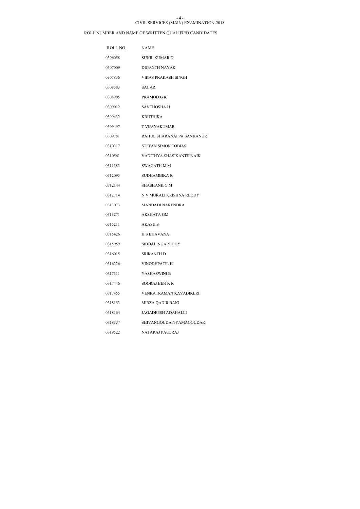#### CIVIL SERVICES (MAIN) EXAMINATION-2018 - 4 -

| ROLL NO. | <b>NAME</b>                |
|----------|----------------------------|
| 0306058  | <b>SUNIL KUMAR D</b>       |
| 0307009  | DIGANTH NAYAK              |
| 0307836  | VIKAS PRAKASH SINGH        |
| 0308383  | SAGAR                      |
| 0308905  | PRAMOD G K                 |
| 0309012  | <b>SANTHOSHA H</b>         |
| 0309432  | <b>KRUTHIKA</b>            |
| 0309497  | T VIJAYAKUMAR              |
| 0309781  | RAHUL SHARANAPPA SANKANUR  |
| 0310317  | <b>STEFAN SIMON TOBIAS</b> |
| 0310561  | VADITHYA SHASIKANTH NAIK   |
| 0311383  | <b>SWAGATH M M</b>         |
| 0312095  | SUDHAMBIKA R               |
| 0312144  | SHASHANK G M               |
| 0312714  | N V MURALI KRISHNA REDDY   |
| 0313073  | <b>MANDADI NARENDRA</b>    |
| 0313271  | AKSHATA GM                 |
| 0315211  | AKASH S                    |
| 0315426  | <b>H S BHAVANA</b>         |
| 0315959  | <b>SIDDALINGAREDDY</b>     |
| 0316015  | <b>SRIKANTH D</b>          |
| 0316226  | <b>VINODHPATIL H</b>       |
| 0317311  | YASHASWINI B               |
| 0317446  | <b>SOORAJ BENKR</b>        |
| 0317455  | VENKATRAMAN KAVADIKERI     |
| 0318153  | MIRZA QADIR BAIG           |
| 0318164  | <b>JAGADEESH ADAHALLI</b>  |
| 0318337  | SHIVANGOUDA NYAMAGOUDAR    |
| 0319522  | NATARAJ PAULRAJ            |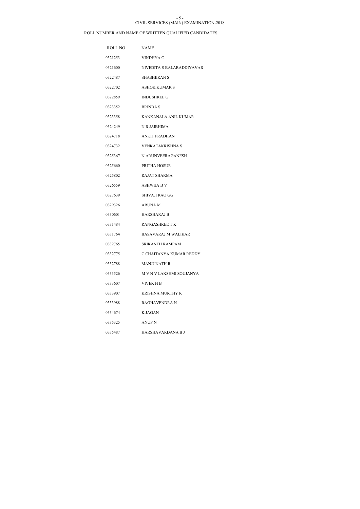#### CIVIL SERVICES (MAIN) EXAMINATION-2018 - 5 -

| ROLL NO. | <b>NAME</b>               |
|----------|---------------------------|
| 0321253  | VINDHYA C                 |
| 0321600  | NIVEDITA S BALARADDIYAVAR |
| 0322487  | <b>SHASHIIRAN S</b>       |
| 0322702  | <b>ASHOK KUMAR S</b>      |
| 0322859  | <b>INDUSHREE G</b>        |
| 0323352  | <b>BRINDA S</b>           |
| 0323358  | KANKANALA ANIL KUMAR      |
| 0324249  | N R JAIBHIMA              |
| 0324718  | <b>ANKIT PRADHAN</b>      |
| 0324732  | VENKATAKRISHNA S          |
| 0325367  | N ARUNVEERAGANESH         |
| 0325660  | PRITHA HOSUR              |
| 0325802  | <b>RAJAT SHARMA</b>       |
| 0326559  | ASHWIJA B V               |
| 0327639  | SHIVAJI RAO GG            |
| 0329326  | <b>ARUNA M</b>            |
| 0330601  | <b>HARSHARAJ B</b>        |
| 0331484  | <b>RANGASHREE TK</b>      |
| 0331764  | BASAVARAJ M WALIKAR       |
| 0332765  | <b>SRIKANTH RAMPAM</b>    |
| 0332775  | C CHAITANYA KUMAR REDDY   |
| 0332788  | <b>MANJUNATH R</b>        |
| 0333526  | M V N V LAKSHMI SOUJANYA  |
| 0333607  | VIVEK H B                 |
| 0333907  | KRISHNA MURTHY R          |
| 0333988  | RAGHAVENDRA N             |
| 0334674  | <b>K JAGAN</b>            |
| 0335325  | ANUP N                    |
| 0335487  | HARSHAVARDANA B J         |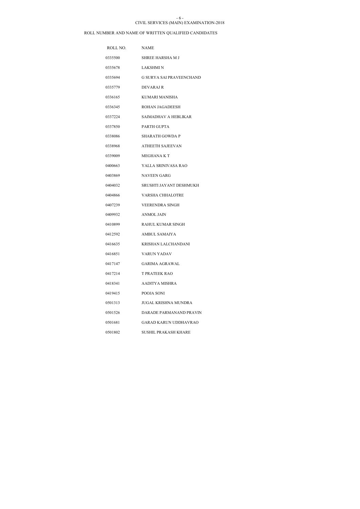#### CIVIL SERVICES (MAIN) EXAMINATION-2018 - 6 -

| ROLL NO. | <b>NAME</b>                     |
|----------|---------------------------------|
| 0335500  | <b>SHREE HARSHA M J</b>         |
| 0335678  | LAKSHMI N                       |
| 0335694  | <b>G SURYA SAI PRAVEENCHAND</b> |
| 0335779  | <b>DEVARAJ R</b>                |
| 0336165  | KUMARI MANISHA                  |
| 0336345  | <b>ROHAN JAGADEESH</b>          |
| 0337224  | SAIMADHAV A HEBLIKAR            |
| 0337850  | PARTH GUPTA                     |
| 0338086  | SHARATH GOWDA P                 |
| 0338968  | <b>ATHEETH SAJEEVAN</b>         |
| 0339009  | <b>MEGHANA K T</b>              |
| 0400663  | YALLA SRINIVASA RAO             |
| 0403869  | <b>NAVEEN GARG</b>              |
| 0404032  | SRUSHTI JAYANT DESHMUKH         |
| 0404866  | <b>VARSHA CHHALOTRE</b>         |
| 0407239  | <b>VEERENDRA SINGH</b>          |
| 0409932  | <b>ANMOL JAIN</b>               |
| 0410899  | <b>RAHUL KUMAR SINGH</b>        |
| 0412592  | <b>AMBUL SAMAIYA</b>            |
| 0416635  | KRISHAN LALCHANDANI             |
| 0416851  | <b>VARUN YADAV</b>              |
| 0417147  | <b>GARIMA AGRAWAL</b>           |
| 0417214  | T PRATEEK RAO                   |
| 0418341  | AADITYA MISHRA                  |
| 0419415  | POOJA SONI                      |
| 0501313  | JUGAL KRISHNA MUNDRA            |
| 0501526  | DARADE PARMANAND PRAVIN         |
| 0501681  | GARAD KARUN UDDHAVRAO           |
| 0501802  | <b>SUSHIL PRAKASH KHARE</b>     |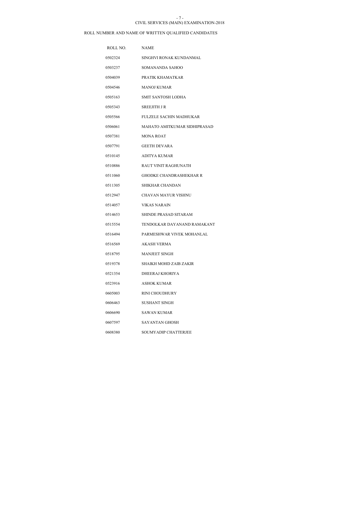#### CIVIL SERVICES (MAIN) EXAMINATION-2018 - 7 -

| ROLL NO. | <b>NAME</b>                    |
|----------|--------------------------------|
| 0502324  | SINGHVI RONAK KUNDANMAL        |
| 0503237  | SOMANANDA SAHOO                |
| 0504039  | PRATIK KHAMATKAR               |
| 0504546  | <b>MANOJ KUMAR</b>             |
| 0505163  | <b>SMIT SANTOSH LODHA</b>      |
| 0505343  | <b>SREEJITH JR</b>             |
| 0505566  | <b>FULZELE SACHIN MADHUKAR</b> |
| 0506061  | MAHATO AMITKUMAR SIDHIPRASAD   |
| 0507381  | <b>MONA ROAT</b>               |
| 0507791  | <b>GEETH DEVARA</b>            |
| 0510145  | ADITYA KUMAR                   |
| 0510886  | <b>RAUT VINIT RAGHUNATH</b>    |
| 0511060  | <b>GHODKE CHANDRASHEKHAR R</b> |
| 0511305  | SHIKHAR CHANDAN                |
| 0512947  | CHAVAN MAYUR VISHNU            |
| 0514057  | <b>VIKAS NARAIN</b>            |
| 0514653  | SHINDE PRASAD SITARAM          |
| 0515554  | TENDOLKAR DAYANAND RAMAKANT    |
| 0516494  | PARMESHWAR VIVEK MOHANLAL      |
| 0516569  | AKASH VERMA                    |
| 0518795  | <b>MANJEET SINGH</b>           |
| 0519378  | <b>SHAIKH MOHD ZAIB ZAKIR</b>  |
| 0521354  | DHEERAJ KHORIYA                |
| 0523916  | <b>ASHOK KUMAR</b>             |
| 0605003  | <b>RINI CHOUDHURY</b>          |
| 0606463  | SUSHANT SINGH                  |
| 0606690  | SAWAN KUMAR                    |
| 0607597  | SAYANTAN GHOSH                 |
| 0608380  | SOUMYADIP CHATTERJEE           |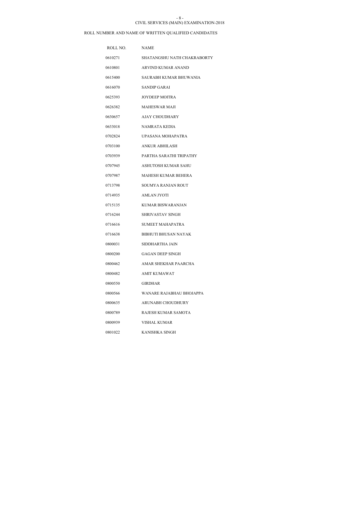#### CIVIL SERVICES (MAIN) EXAMINATION-2018 - 8 -

| ROLL NO. | <b>NAME</b>                 |
|----------|-----------------------------|
| 0610271  | SHATANGSHU NATH CHAKRABORTY |
| 0610801  | ARVIND KUMAR ANAND          |
| 0615400  | SAURABH KUMAR BHUWANIA      |
| 0616070  | <b>SANDIP GARAI</b>         |
| 0625393  | <b>JOYDEEP MOITRA</b>       |
| 0626382  | <b>MAHESWAR MAJI</b>        |
| 0630657  | <b>AJAY CHOUDHARY</b>       |
| 0633018  | NAMRATA KEDIA               |
| 0702824  | UPASANA MOHAPATRA           |
| 0703100  | ANKUR ABHILASH              |
| 0703939  | PARTHA SARATHI TRIPATHY     |
| 0707945  | ASHUTOSH KUMAR SAHU         |
| 0707987  | MAHESH KUMAR BEHERA         |
| 0713798  | SOUMYA RANJAN ROUT          |
| 0714935  | <b>AMLAN JYOTI</b>          |
| 0715135  | <b>KUMAR BISWARANJAN</b>    |
| 0716244  | <b>SHRIVASTAV SINGH</b>     |
| 0716616  | <b>SUMEET MAHAPATRA</b>     |
| 0716638  | <b>BIBHUTI BHUSAN NAYAK</b> |
| 0800031  | SIDDHARTHA JAIN             |
| 0800200  | <b>GAGAN DEEP SINGH</b>     |
| 0800462  | AMAR SHEKHAR PAARCHA        |
| 0800482  | <b>AMIT KUMAWAT</b>         |
| 0800550  | <b>GIRDHAR</b>              |
| 0800566  | WANARE RAJABHAU BHOJAPPA    |
| 0800635  | ARUNABH CHOUDHURY           |
| 0800789  | RAJESH KUMAR SAMOTA         |
| 0800939  | VISHAL KUMAR                |
| 0801022  | KANISHKA SINGH              |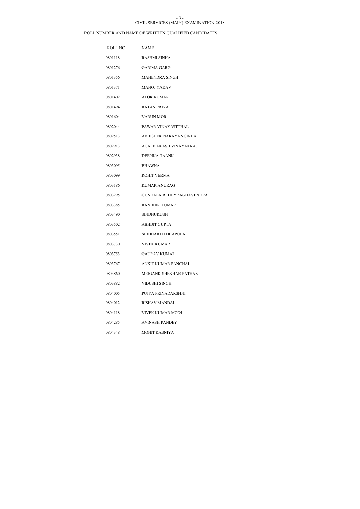#### CIVIL SERVICES (MAIN) EXAMINATION-2018 - 9 -

| ROLL NO. | <b>NAME</b>                     |
|----------|---------------------------------|
| 0801118  | <b>RASHMI SINHA</b>             |
| 0801276  | <b>GARIMA GARG</b>              |
| 0801356  | <b>MAHENDRA SINGH</b>           |
| 0801371  | <b>MANOJ YADAV</b>              |
| 0801402  | <b>ALOK KUMAR</b>               |
| 0801494  | <b>RATAN PRIYA</b>              |
| 0801604  | <b>VARUN MOR</b>                |
| 0802044  | PAWAR VINAY VITTHAL             |
| 0802513  | ABHISHEK NARAYAN SINHA          |
| 0802913  | AGALE AKASH VINAYAKRAO          |
| 0802938  | DEEPIKA TAANK                   |
| 0803095  | <b>BHAWNA</b>                   |
| 0803099  | <b>ROHIT VERMA</b>              |
| 0803186  | <b>KUMAR ANURAG</b>             |
| 0803295  | <b>GUNDALA REDDYRAGHAVENDRA</b> |
| 0803385  | <b>RANDHIR KUMAR</b>            |
| 0803490  | <b>SINDHUKUSH</b>               |
| 0803502  | <b>ABHIJIT GUPTA</b>            |
| 0803551  | SIDDHARTH DHAPOLA               |
| 0803730  | <b>VIVEK KUMAR</b>              |
| 0803753  | <b>GAURAV KUMAR</b>             |
| 0803767  | <b>ANKIT KUMAR PANCHAL</b>      |
| 0803860  | MRIGANK SHEKHAR PATHAK          |
| 0803882  | VIDUSHI SINGH                   |
| 0804005  | PUJYA PRIYADARSHNI              |
| 0804012  | <b>RISHAV MANDAL</b>            |
| 0804118  | VIVEK KUMAR MODI                |
| 0804285  | <b>AVINASH PANDEY</b>           |
| 0804348  | MOHIT KASNIYA                   |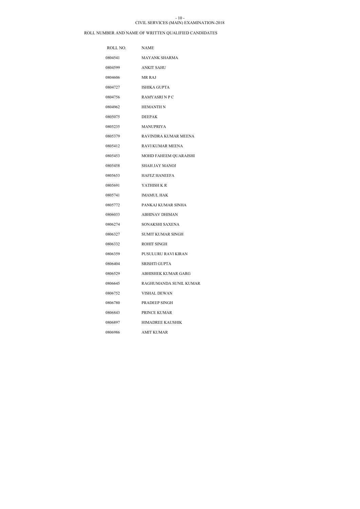### CIVIL SERVICES (MAIN) EXAMINATION-2018 - 10 -

| ROLL NO. | <b>NAME</b>              |
|----------|--------------------------|
| 0804541  | <b>MAYANK SHARMA</b>     |
| 0804599  | <b>ANKIT SAHU</b>        |
| 0804606  | MR RAJ                   |
| 0804727  | <b>ISHIKA GUPTA</b>      |
| 0804756  | <b>RAMYASRINPC</b>       |
| 0804962  | <b>HEMANTH N</b>         |
| 0805075  | <b>DEEPAK</b>            |
| 0805235  | <b>MANUPRIYA</b>         |
| 0805379  | RAVINDRA KUMAR MEENA     |
| 0805412  | RAVI KUMAR MEENA         |
| 0805453  | MOHD FAHEEM QUARAISHI    |
| 0805458  | SHAH JAY MANOJ           |
| 0805653  | <b>HAFEZ HANEEFA</b>     |
| 0805691  | YATHISH K R              |
| 0805741  | <b>IMAMUL HAK</b>        |
| 0805772  | PANKAJ KUMAR SINHA       |
| 0806033  | <b>ABHINAV DHIMAN</b>    |
| 0806274  | SONAKSHI SAXENA          |
| 0806327  | <b>SUMIT KUMAR SINGH</b> |
| 0806332  | <b>ROHIT SINGH</b>       |
| 0806359  | PUSULURU RAVI KIRAN      |
| 0806404  | <b>SRISHTI GUPTA</b>     |
| 0806529  | ABHISHEK KUMAR GARG      |
| 0806645  | RAGHUMANDA SUNIL KUMAR   |
| 0806752  | VISHAL DEWAN             |
| 0806780  | <b>PRADEEP SINGH</b>     |
| 0806843  | PRINCE KUMAR             |
| 0806897  | <b>HIMADREE KAUSHIK</b>  |
| 0806986  | <b>AMIT KUMAR</b>        |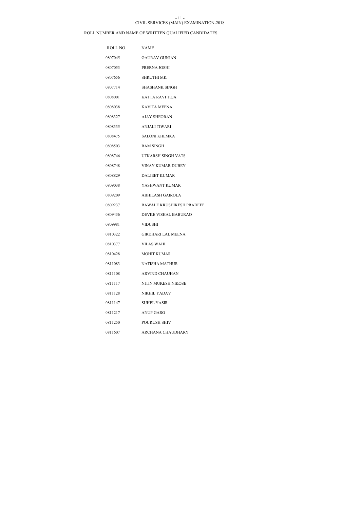### CIVIL SERVICES (MAIN) EXAMINATION-2018 - 11 -

| ROLL NO. | <b>NAME</b>               |
|----------|---------------------------|
| 0807045  | <b>GAURAV GUNJAN</b>      |
| 0807053  | PRERNA JOSHI              |
| 0807656  | <b>SHRUTHI MK</b>         |
| 0807714  | SHASHANK SINGH            |
| 0808001  | KATTA RAVI TEJA           |
| 0808038  | <b>KAVITA MEENA</b>       |
| 0808327  | <b>AJAY SHEORAN</b>       |
| 0808335  | ANJALI TIWARI             |
| 0808475  | <b>SALONI KHEMKA</b>      |
| 0808503  | <b>RAM SINGH</b>          |
| 0808746  | UTKARSH SINGH VATS        |
| 0808748  | <b>VINAY KUMAR DUBEY</b>  |
| 0808829  | <b>DALJEET KUMAR</b>      |
| 0809038  | YASHWANT KUMAR            |
| 0809209  | ABHILASH GAIROLA          |
| 0809237  | RAWALE KRUSHIKESH PRADEEP |
| 0809436  | DEVKE VISHAL BABURAO      |
| 0809981  | <b>VIDUSHI</b>            |
| 0810322  | <b>GIRDHARI LAL MEENA</b> |
| 0810377  | <b>VILAS WAHI</b>         |
| 0810428  | <b>MOHIT KUMAR</b>        |
| 0811083  | <b>NATISHA MATHUR</b>     |
| 0811108  | <b>ARVIND CHAUHAN</b>     |
| 0811117  | NITIN MUKESH NIKOSE       |
| 0811128  | NIKHIL YADAV              |
| 0811147  | <b>SUHEL YASIR</b>        |
| 0811217  | ANUP GARG                 |
| 0811250  | POURUSH SHIV              |
| 0811607  | <b>ARCHANA CHAUDHARY</b>  |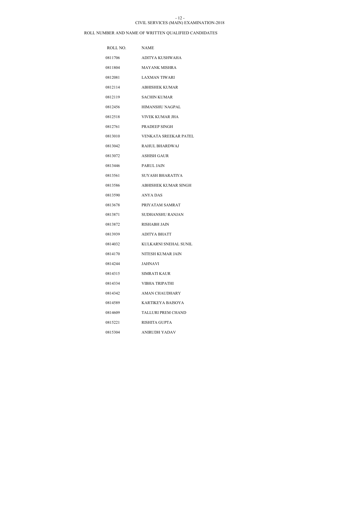#### CIVIL SERVICES (MAIN) EXAMINATION-2018 - 12 -

| ROLL NO. | <b>NAME</b>           |
|----------|-----------------------|
| 0811706  | ADITYA KUSHWAHA       |
| 0811804  | <b>MAYANK MISHRA</b>  |
| 0812081  | LAXMAN TIWARI         |
| 0812114  | <b>ABHISHEK KUMAR</b> |
| 0812119  | <b>SACHIN KUMAR</b>   |
| 0812456  | HIMANSHU NAGPAL       |
| 0812518  | VIVEK KUMAR JHA       |
| 0812761  | <b>PRADEEP SINGH</b>  |
| 0813010  | VENKATA SREEKAR PATEL |
| 0813042  | RAHUL BHARDWAJ        |
| 0813072  | ASHISH GAUR           |
| 0813446  | PARUL JAIN            |
| 0813561  | SUYASH BHARATIYA      |
| 0813586  | ABHISHEK KUMAR SINGH  |
| 0813590  | ANYA DAS              |
| 0813678  | PRIYATAM SAMRAT       |
| 0813871  | SUDHANSHU RANJAN      |
| 0813872  | RISHABH JAIN          |
| 0813939  | ADITYA BHATT          |
| 0814032  | KULKARNI SNEHAL SUNIL |
| 0814170  | NITESH KUMAR JAIN     |
| 0814244  | JAHNAVI               |
| 0814315  | SIMRATI KAUR          |
| 0814334  | VIBHA TRIPATHI        |
| 0814342  | AMAN CHAUDHARY        |
| 0814589  | KARTIKEYA BAISOYA     |
| 0814609  | TALLURI PREM CHAND    |
| 0815221  | RISHITA GUPTA         |
| 0815304  | ANIRUDH YADAV         |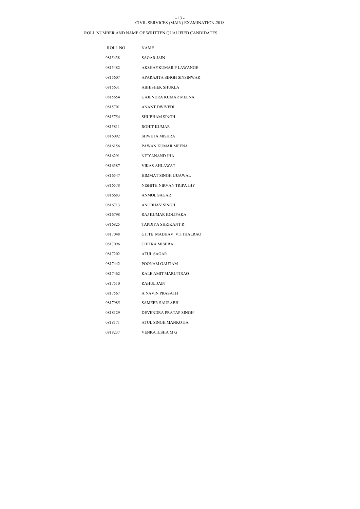#### CIVIL SERVICES (MAIN) EXAMINATION-2018 - 13 -

| ROLL NO. | <b>NAME</b>                  |
|----------|------------------------------|
| 0815438  | <b>SAGAR JAIN</b>            |
| 0815482  | <b>AKSHAYKUMAR P LAWANGE</b> |
| 0815607  | APARAJITA SINGH SINSINWAR    |
| 0815631  | <b>ABHISHEK SHUKLA</b>       |
| 0815654  | <b>GAJENDRA KUMAR MEENA</b>  |
| 0815701  | ANANT DWIVEDI                |
| 0815754  | <b>SHUBHAM SINGH</b>         |
| 0815811  | ROHIT KUMAR                  |
| 0816092  | <b>SHWETA MISHRA</b>         |
| 0816156  | PAWAN KUMAR MEENA            |
| 0816291  | NITYANAND JHA                |
| 0816387  | <b>VIKAS AHLAWAT</b>         |
| 0816547  | HIMMAT SINGH UJJAWAL         |
| 0816578  | NISHITH NIRVAN TRIPATHY      |
| 0816683  | <b>ANMOL SAGAR</b>           |
| 0816713  | <b>ANUBHAV SINGH</b>         |
| 0816798  | RAJ KUMAR KOLIPAKA           |
| 0816825  | TAPDIYA SHRIKANT R           |
| 0817048  | GITTE MADHAV VITTHALRAO      |
| 0817096  | CHITRA MISHRA                |
| 0817202  | <b>ATUL SAGAR</b>            |
| 0817442  | POONAM GAUTAM                |
| 0817462  | KALE AMIT MARUTIRAO          |
| 0817510  | <b>RAHUL JAIN</b>            |
| 0817567  | A NAVIN PRASATH              |
| 0817985  | <b>SAMEER SAURABH</b>        |
| 0818129  | DEVENDRA PRATAP SINGH        |
| 0818171  | ATUL SINGH MANKOTIA          |
| 0818237  | <b>VENKATESHA M G</b>        |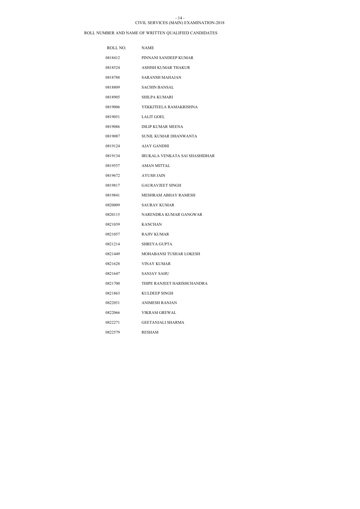### CIVIL SERVICES (MAIN) EXAMINATION-2018 - 14 -

| ROLL NO. | <b>NAME</b>                    |
|----------|--------------------------------|
| 0818412  | PINNANI SANDEEP KUMAR          |
| 0818524  | ASHISH KUMAR THAKUR            |
| 0818788  | <b>SARANSH MAHAJAN</b>         |
| 0818809  | <b>SACHIN BANSAL</b>           |
| 0818905  | <b>SHILPA KUMARI</b>           |
| 0819006  | YEKKITEELA RAMAKRISHNA         |
| 0819051  | LALIT GOEL                     |
| 0819086  | DILIP KUMAR MEENA              |
| 0819087  | SUNIL KUMAR DHANWANTA          |
| 0819124  | AJAY GANDHI                    |
| 0819134  | IRUKALA VENKATA SAI SHASHIDHAR |
| 0819557  | AMAN MITTAL                    |
| 0819672  | <b>AYUSH JAIN</b>              |
| 0819817  | <b>GAURAVJEET SINGH</b>        |
| 0819841  | MESHRAM ABHAY RAMESH           |
| 0820009  | <b>SAURAV KUMAR</b>            |
| 0820115  | NARENDRA KUMAR GANGWAR         |
| 0821039  | <b>KANCHAN</b>                 |
| 0821057  | <b>RAJIV KUMAR</b>             |
| 0821214  | <b>SHREYA GUPTA</b>            |
| 0821449  | MOHABANSI TUSHAR LOKESH        |
| 0821628  | <b>VINAY KUMAR</b>             |
| 0821647  | <b>SANJAY SAHU</b>             |
| 0821700  | THIPE RANJEET HARISHCHANDRA    |
| 0821863  | KULDEEP SINGH                  |
| 0822051  | ANIMESH RANJAN                 |
| 0822066  | <b>VIKRAM GREWAL</b>           |
| 0822271  | GEETANJALI SHARMA              |
| 0822579  | RESHAM                         |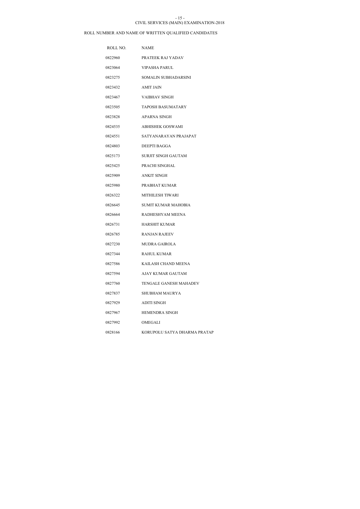#### CIVIL SERVICES (MAIN) EXAMINATION-2018  $-15 -$

| ROLL NO. | <b>NAME</b>                   |
|----------|-------------------------------|
| 0822960  | PRATEEK RAJ YADAV             |
| 0823064  | <b>VIPASHA PARUL</b>          |
| 0823275  | SOMALIN SUBHADARSINI          |
| 0823432  | <b>AMIT JAIN</b>              |
| 0823467  | <b>VAIBHAV SINGH</b>          |
| 0823505  | TAPOSH BASUMATARY             |
| 0823828  | APARNA SINGH                  |
| 0824535  | ABHISHEK GOSWAMI              |
| 0824551  | SATYANARAYAN PRAJAPAT         |
| 0824803  | <b>DEEPTI BAGGA</b>           |
| 0825173  | <b>SURJIT SINGH GAUTAM</b>    |
| 0825425  | PRACHI SINGHAL                |
| 0825909  | <b>ANKIT SINGH</b>            |
| 0825980  | PRABHAT KUMAR                 |
| 0826322  | MITHILESH TIWARI              |
| 0826645  | <b>SUMIT KUMAR MAHOBIA</b>    |
| 0826664  | RADHESHYAM MEENA              |
| 0826731  | <b>HARSHIT KUMAR</b>          |
| 0826785  | <b>RANJAN RAJEEV</b>          |
| 0827230  | <b>MUDRA GAIROLA</b>          |
| 0827344  | <b>RAHUL KUMAR</b>            |
| 0827586  | KAILASH CHAND MEENA           |
| 0827594  | AJAY KUMAR GAUTAM             |
| 0827760  | <b>TENGALE GANESH MAHADEV</b> |
| 0827837  | SHUBHAM MAURYA                |
| 0827929  | ADITI SINGH                   |
| 0827967  | <b>HEMENDRA SINGH</b>         |
| 0827992  | OMEGALI                       |
| 0828166  | KORUPOLU SATYA DHARMA PRATAP  |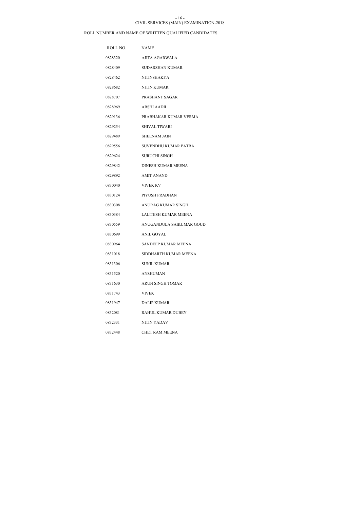#### CIVIL SERVICES (MAIN) EXAMINATION-2018 - 16 -

| ROLL NO. | <b>NAME</b>                 |
|----------|-----------------------------|
| 0828320  | AJITA AGARWALA              |
| 0828409  | SUDARSHAN KUMAR             |
| 0828462  | <b>NITINSHAKYA</b>          |
| 0828682  | <b>NITIN KUMAR</b>          |
| 0828707  | PRASHANT SAGAR              |
| 0828969  | ARSHI AADIL                 |
| 0829136  | PRABHAKAR KUMAR VERMA       |
| 0829254  | SHIVAL TIWARI               |
| 0829489  | <b>SHEENAM JAIN</b>         |
| 0829556  | SUVENDHU KUMAR PATRA        |
| 0829624  | <b>SURUCHI SINGH</b>        |
| 0829842  | DINESH KUMAR MEENA          |
| 0829892  | <b>AMIT ANAND</b>           |
| 0830040  | <b>VIVEK KV</b>             |
| 0830124  | PIYUSH PRADHAN              |
| 0830308  | ANURAG KUMAR SINGH          |
| 0830384  | <b>LALITESH KUMAR MEENA</b> |
| 0830559  | ANUGANDULA SAIKUMAR GOUD    |
| 0830699  | ANIL GOYAL                  |
| 0830964  | SANDEEP KUMAR MEENA         |
| 0831018  | SIDDHARTH KUMAR MEENA       |
| 0831306  | <b>SUNIL KUMAR</b>          |
| 0831520  | <b>ANSHUMAN</b>             |
| 0831630  | ARUN SINGH TOMAR            |
| 0831743  | <b>VIVEK</b>                |
| 0831947  | <b>DALIP KUMAR</b>          |
| 0832081  | RAHUL KUMAR DUBEY           |
| 0832331  | <b>NITIN YADAV</b>          |
| 0832448  | <b>CHET RAM MEENA</b>       |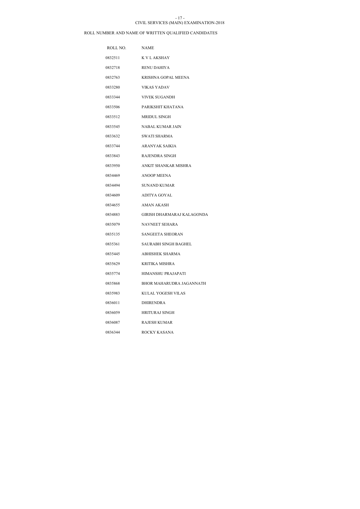### CIVIL SERVICES (MAIN) EXAMINATION-2018 - 17 -

| ROLL NO. | <b>NAME</b>                 |
|----------|-----------------------------|
| 0832511  | K V L AKSHAY                |
| 0832718  | <b>RENU DAHIYA</b>          |
| 0832763  | KRISHNA GOPAL MEENA         |
| 0833280  | <b>VIKAS YADAV</b>          |
| 0833344  | <b>VIVEK SUGANDH</b>        |
| 0833506  | PARIKSHIT KHATANA           |
| 0833512  | <b>MRIDUL SINGH</b>         |
| 0833545  | NABAL KUMAR JAIN            |
| 0833632  | <b>SWATI SHARMA</b>         |
| 0833744  | ARANYAK SAIKIA              |
| 0833843  | RAJENDRA SINGH              |
| 0833950  | ANKIT SHANKAR MISHRA        |
| 0834469  | <b>ANOOP MEENA</b>          |
| 0834494  | <b>SUNAND KUMAR</b>         |
| 0834609  | ADITYA GOYAL                |
| 0834655  | <b>AMAN AKASH</b>           |
| 0834883  | GIRISH DHARMARAJ KALAGONDA  |
| 0835079  | NAVNEET SEHARA              |
| 0835135  | SANGEETA SHEORAN            |
| 0835361  | <b>SAURABH SINGH BAGHEL</b> |
| 0835445  | ABHISHEK SHARMA             |
| 0835629  | <b>KRITIKA MISHRA</b>       |
| 0835774  | <b>HIMANSHU PRAJAPATI</b>   |
| 0835868  | BHOR MAHARUDRA JAGANNATH    |
| 0835983  | KULAL YOGESH VILAS          |
| 0836011  | <b>DHIRENDRA</b>            |
| 0836059  | <b>HRITURAJ SINGH</b>       |
| 0836087  | <b>RAJESH KUMAR</b>         |
| 0836344  | ROCKY KASANA                |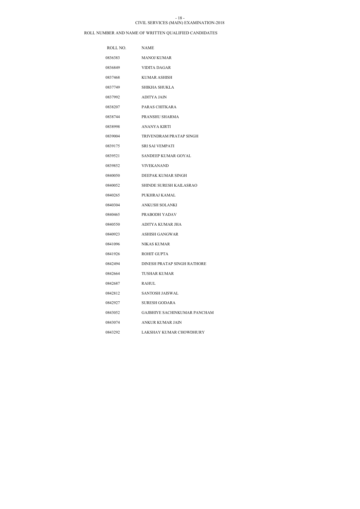### CIVIL SERVICES (MAIN) EXAMINATION-2018 - 18 -

| ROLL NO. | <b>NAME</b>                  |
|----------|------------------------------|
| 0836383  | <b>MANOJ KUMAR</b>           |
| 0836849  | VIDITA DAGAR                 |
| 0837468  | <b>KUMAR ASHISH</b>          |
| 0837749  | SHIKHA SHUKLA                |
| 0837992  | ADITYA JAIN                  |
| 0838207  | PARAS CHITKARA               |
| 0838744  | PRANSHU SHARMA               |
| 0838998  | ANANYA KIRTI                 |
| 0839004  | TRIVENDRAM PRATAP SINGH      |
| 0839175  | SRI SAI VEMPATI              |
| 0839521  | SANDEEP KUMAR GOYAL          |
| 0839852  | <b>VIVEKANAND</b>            |
| 0840050  | DEEPAK KUMAR SINGH           |
| 0840052  | SHINDE SURESH KAILASRAO      |
| 0840265  | PUKHRAJ KAMAL                |
| 0840304  | <b>ANKUSH SOLANKI</b>        |
| 0840465  | PRABODH YADAV                |
| 0840550  | ADITYA KUMAR JHA             |
| 0840923  | ASHISH GANGWAR               |
| 0841096  | NIKAS KUMAR                  |
| 0841926  | <b>ROHIT GUPTA</b>           |
| 0842494  | DINESH PRATAP SINGH RATHORE  |
| 0842664  | <b>TUSHAR KUMAR</b>          |
| 0842687  | <b>RAHUL</b>                 |
| 0842812  | SANTOSH JAISWAL              |
| 0842927  | SURESH GODARA                |
| 0843052  | GAJBHIYE SACHINKUMAR PANCHAM |
| 0843074  | ANKUR KUMAR JAIN             |
| 0843292  | LAKSHAY KUMAR CHOWDHURY      |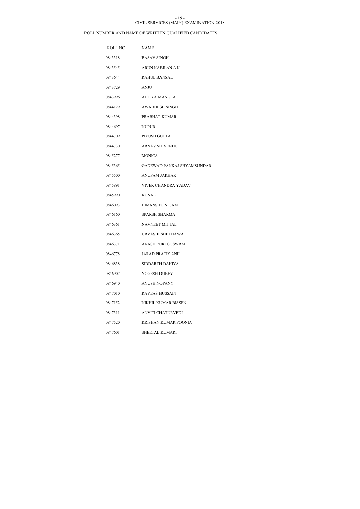#### CIVIL SERVICES (MAIN) EXAMINATION-2018 - 19 -

| ROLL NO. | <b>NAME</b>                |
|----------|----------------------------|
| 0843318  | <b>BASAV SINGH</b>         |
| 0843545  | ARUN KABILAN A K           |
| 0843644  | RAHUL BANSAL               |
| 0843729  | ANJU                       |
| 0843996  | ADITYA MANGLA              |
| 0844129  | AWADHESH SINGH             |
| 0844398  | PRABHAT KUMAR              |
| 0844697  | <b>NUPUR</b>               |
| 0844709  | PIYUSH GUPTA               |
| 0844730  | <b>ARNAV SHIVENDU</b>      |
| 0845277  | <b>MONICA</b>              |
| 0845365  | GADEWAD PANKAJ SHYAMSUNDAR |
| 0845500  | ANUPAM JAKHAR              |
| 0845891  | VIVEK CHANDRA YADAV        |
| 0845990  | <b>KUNAL</b>               |
| 0846093  | HIMANSHU NIGAM             |
| 0846160  | SPARSH SHARMA              |
| 0846361  | <b>NAVNEET MITTAL</b>      |
| 0846365  | URVASHI SHEKHAWAT          |
| 0846371  | AKASH PURI GOSWAMI         |
| 0846778  | JARAD PRATIK ANIL          |
| 0846838  | SIDDARTH DAHIYA            |
| 0846907  | YOGESH DUBEY               |
| 0846940  | AYUSH NOPANY               |
| 0847010  | RAYEAS HUSSAIN             |
| 0847152  | NIKHIL KUMAR BISSEN        |
| 0847311  | ANVITI CHATURVEDI          |
| 0847520  | KRISHAN KUMAR POONIA       |
| 0847601  | SHEETAL KUMARI             |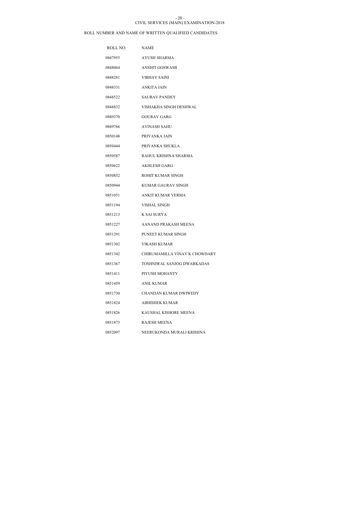### CIVIL SERVICES (MAIN) EXAMINATION-2018 - 20 -

| ROLL NO. | <b>NAME</b>                   |
|----------|-------------------------------|
| 0847955  | AYUSH SHARMA                  |
| 0848064  | <b>ANSHIT GOSWAMI</b>         |
| 0848281  | VIBHAV SAINI                  |
| 0848331  | ANKITA JAIN                   |
| 0848522  | <b>SAURAV PANDEY</b>          |
| 0848832  | VISHAKHA SINGH DESHWAL        |
| 0849370  | <b>GOURAV GARG</b>            |
| 0849766  | AVINASH SAHU                  |
| 0850148  | PRIYANKA JAIN                 |
| 0850444  | PRIYANKA SHUKLA               |
| 0850587  | RAHUL KRISHNA SHARMA          |
| 0850622  | <b>AKHLESH GARG</b>           |
| 0850852  | <b>ROHIT KUMAR SINGH</b>      |
| 0850944  | <b>KUMAR GAURAV SINGH</b>     |
| 0851051  | ANKIT KUMAR VERMA             |
| 0851194  | VISHAL SINGH                  |
| 0851213  | K SAI SURYA                   |
| 0851227  | AANAND PRAKASH MEENA          |
| 0851291  | PUNEET KUMAR SINGH            |
| 0851302  | <b>VIKASH KUMAR</b>           |
| 0851342  | CHIRUMAMILLA VINAY K CHOWDARY |
| 0851367  | TOSHNIWAL SANJOG DWARKADAS    |
| 0851411  | PIYUSH MOHANTY                |
| 0851459  | <b>ANIL KUMAR</b>             |
| 0851730  | CHANDAN KUMAR DWIWEDY         |
| 0851824  | ABHISHEK KUMAR                |
| 0851826  | KAUSHAL KISHORE MEENA         |
| 0851873  | <b>RAJESH MEENA</b>           |
| 0852097  | NEERUKONDA MURALI KRISHNA     |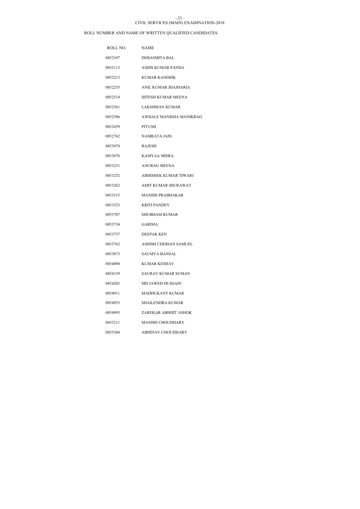### CIVIL SERVICES (MAIN) EXAMINATION-2018 - 21 -

| ROLL NO. | <b>NAME</b>                  |
|----------|------------------------------|
| 0852107  | <b>DEBASMITA BAL</b>         |
| 0852113  | ASHIS KUMAR PANDA            |
| 0852213  | KUMAR KANISHK                |
| 0852235  | ANIL KUMAR JHAJHARIA         |
| 0852514  | HITESH KUMAR MEENA           |
| 0852561  | <b>LAKSHMAN KUMAR</b>        |
| 0852586  | AWHALE MANISHA MANIKRAO      |
| 0852659  | PIYUSH                       |
| 0852762  | NAMRATA JAIN                 |
| 0853070  | RAJESH                       |
| 0853076  | KAMYAA MISRA                 |
| 0853231  | ANURAG MEENA                 |
| 0853252  | ABHISHEK KUMAR TIWARI        |
| 0853262  | AMIT KUMAR JHURAWAT          |
| 0853315  | <b>MANISH PRABHAKAR</b>      |
| 0853523  | <b>KRITI PANDEY</b>          |
| 0853707  | SHUBHAM KUMAR                |
| 0853734  | <b>GARIMA</b>                |
| 0853757  | DEEPAK KEN                   |
| 0853762  | <b>ASHISH CHERIAN SAMUEL</b> |
| 0853873  | <b>SAUMYA BANSAL</b>         |
| 0854090  | <b>KUMAR KESHAV</b>          |
| 0854159  | <b>SAURAV KUMAR SUMAN</b>    |
| 0854203  | <b>MD JAWED HUSSAIN</b>      |
| 0854911  | MADHUKANT KUMAR              |
| 0854953  | SHAILENDRA KUMAR             |
| 0854995  | ZAREKAR ABHIJIT ASHOK        |
| 0855211  | <b>MANISH CHOUDHARY</b>      |
| 0855360  | ABHINAV CHOUDHARY            |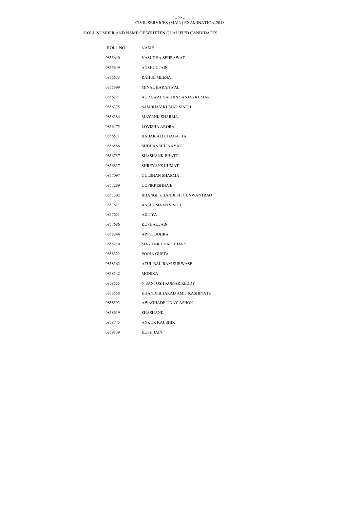#### CIVIL SERVICES (MAIN) EXAMINATION-2018 - 22 -

| ROLL NO. | <b>NAME</b>                       |
|----------|-----------------------------------|
| 0855640  | VASUDHA SEHRAWAT                  |
| 0855649  | ANSHUL JAIN                       |
| 0855673  | <b>RAHUL MEENA</b>                |
| 0855899  | <b>MINAL KARANWAL</b>             |
| 0856221  | AGRAWAL SACHIN SANJAYKUMAR        |
| 0856375  | SAMBHAV KUMAR SINGH               |
| 0856384  | <b>MAYANK SHARMA</b>              |
| 0856475  | LOVISHA ARORA                     |
| 0856571  | BABAR ALI CHAGATTA                |
| 0856586  | <b>SUDHANSHU NAYAK</b>            |
| 0856757  | <b>SHASHANK BHATT</b>             |
| 0856837  | SHREYANS KUMAT                    |
| 0857097  | <b>GULSHAN SHARMA</b>             |
| 0857289  | <b>GOPIKRISHNA B</b>              |
| 0857302  | <b>BHANGE KHANDESH GUNWANTRAO</b> |
| 0857611  | ANSHUMAAN SINGH                   |
| 0857651  | <b>ADITYA</b>                     |
| 0857686  | <b>KUSHAL JAIN</b>                |
| 0858244  | <b>ARPIT BOHRA</b>                |
| 0858270  | <b>MAYANK CHAUDHARY</b>           |
| 0858322  | POOJA GUPTA                       |
| 0858362  | <b>ATUL BALIRAM SURWASE</b>       |
| 0858542  | <b>MONIKA</b>                     |
| 0858555  | N SANTOSH KUMAR REDDY             |
| 0858558  | KHANDEBHARAD AMIT KASHINATH       |
| 0858593  | AWAGHADE UDAY ASHOK               |
| 0858619  | SHASHANK                          |
| 0858745  | ANKUR KAUSHIK                     |
| 0859139  | <b>KUSH JAIN</b>                  |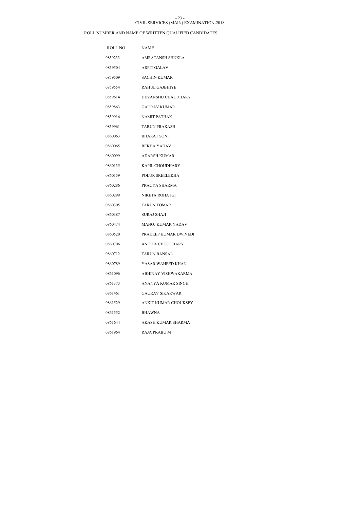#### CIVIL SERVICES (MAIN) EXAMINATION-2018 - 23 -

| ROLL NO. | <b>NAME</b>              |
|----------|--------------------------|
| 0859233  | AMRATANSH SHUKLA         |
| 0859504  | <b>ARPIT GALAV</b>       |
| 0859509  | <b>SACHIN KUMAR</b>      |
| 0859554  | <b>RAHUL GAJBHIYE</b>    |
| 0859614  | DEVANSHU CHAUDHARY       |
| 0859863  | <b>GAURAV KUMAR</b>      |
| 0859916  | NAMIT PATHAK             |
| 0859961  | <b>TARUN PRAKASH</b>     |
| 0860063  | <b>BHARAT SONI</b>       |
| 0860065  | REKHA YADAV              |
| 0860099  | <b>ADARSH KUMAR</b>      |
| 0860135  | KAPIL CHOUDHARY          |
| 0860159  | POLUR SREELEKHA          |
| 0860286  | PRAGYA SHARMA            |
| 0860299  | NIKETA ROHATGI           |
| 0860305  | <b>TARUN TOMAR</b>       |
| 0860387  | <b>SURAJ SHAJI</b>       |
| 0860474  | <b>MANOJ KUMAR YADAV</b> |
| 0860520  | PRADEEP KUMAR DWIVEDI    |
| 0860706  | <b>ANKITA CHOUDHARY</b>  |
| 0860712  | <b>TARUN BANSAL</b>      |
| 0860789  | YASAR WAHEED KHAN        |
| 0861096  | ABHINAY VISHWAKARMA      |
| 0861373  | ANANYA KUMAR SINGH       |
| 0861461  | <b>GAURAV SIKARWAR</b>   |
| 0861529  | ANKIT KUMAR CHOUKSEY     |
| 0861552  | <b>BHAWNA</b>            |
| 0861644  | AKASH KUMAR SHARMA       |
| 0861964  | <b>RAJA PRABU M</b>      |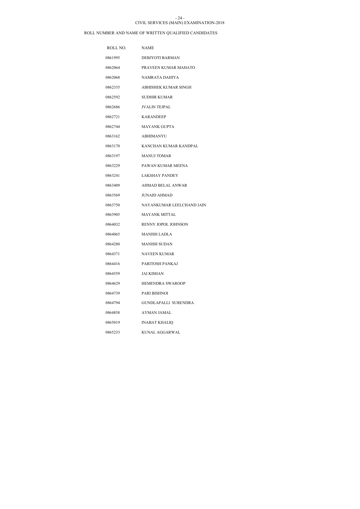#### CIVIL SERVICES (MAIN) EXAMINATION-2018 - 24 -

| ROLL NO. | <b>NAME</b>               |
|----------|---------------------------|
| 0861995  | DEBJYOTI BARMAN           |
| 0862064  | PRAVEEN KUMAR MAHATO      |
| 0862068  | NAMRATA DAHIYA            |
| 0862335  | ABHISHEK KUMAR SINGH      |
| 0862592  | <b>SUDHIR KUMAR</b>       |
| 0862686  | <b>JVALIN TEJPAL</b>      |
| 0862721  | KARANDEEP                 |
| 0862744  | MAYANK GUPTA              |
| 0863162  | <b>ABHIMANYU</b>          |
| 0863170  | KANCHAN KUMAR KANDPAL     |
| 0863197  | <b>MANUJ TOMAR</b>        |
| 0863229  | PAWAN KUMAR MEENA         |
| 0863241  | LAKSHAY PANDEY            |
| 0863409  | <b>AHMAD BELAL ANWAR</b>  |
| 0863569  | <b>JUNAID AHMAD</b>       |
| 0863750  | NAYANKUMAR LEELCHAND JAIN |
| 0863905  | <b>MAYANK MITTAL</b>      |
| 0864032  | RENNY JOPOL JOHNSON       |
| 0864065  | <b>MANISH LADLA</b>       |
| 0864280  | <b>MANISH SUDAN</b>       |
| 0864371  | <b>NAVEEN KUMAR</b>       |
| 0864416  | PARITOSH PANKAJ           |
| 0864559  | <b>JAI KISHAN</b>         |
| 0864629  | <b>HEMENDRA SWAROOP</b>   |
| 0864739  | PARI BISHNOI              |
| 0864794  | GUNDLAPALLI SURENDRA      |
| 0864858  | <b>AYMAN JAMAL</b>        |
| 0865019  | <b>INABAT KHALIQ</b>      |
| 0865233  | KUNAL AGGARWAL            |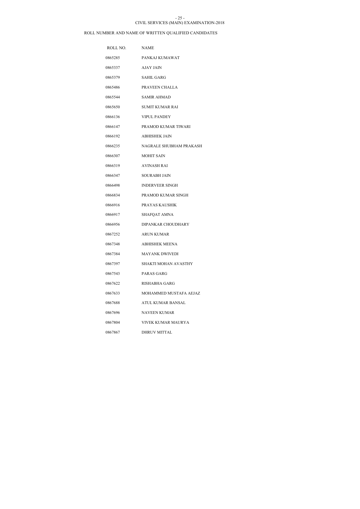#### CIVIL SERVICES (MAIN) EXAMINATION-2018 - 25 -

| ROLL NO. | <b>NAME</b>                 |
|----------|-----------------------------|
| 0865285  | PANKAJ KUMAWAT              |
| 0865337  | AJAY JAIN                   |
| 0865379  | <b>SAHIL GARG</b>           |
| 0865486  | PRAVEEN CHALLA              |
| 0865544  | <b>SAMIR AHMAD</b>          |
| 0865650  | SUMIT KUMAR RAI             |
| 0866136  | <b>VIPUL PANDEY</b>         |
| 0866147  | PRAMOD KUMAR TIWARI         |
| 0866192  | <b>ABHISHEK JAIN</b>        |
| 0866235  | NAGRALE SHUBHAM PRAKASH     |
| 0866307  | <b>MOHIT SAIN</b>           |
| 0866319  | <b>AVINASH RAI</b>          |
| 0866347  | <b>SOURABH JAIN</b>         |
| 0866498  | <b>INDERVEER SINGH</b>      |
| 0866834  | PRAMOD KUMAR SINGH          |
| 0866916  | PRAYAS KAUSHIK              |
| 0866917  | SHAFQAT AMNA                |
| 0866956  | DIPANKAR CHOUDHARY          |
| 0867252  | <b>ARUN KUMAR</b>           |
| 0867348  | ABHISHEK MEENA              |
| 0867384  | <b>MAYANK DWIVEDI</b>       |
| 0867397  | <b>SHAKTI MOHAN AVASTHY</b> |
| 0867543  | PARAS GARG                  |
| 0867622  | RISHABHA GARG               |
| 0867633  | MOHAMMED MUSTAFA AEJAZ      |
| 0867688  | ATUL KUMAR BANSAL           |
| 0867696  | NAVEEN KUMAR                |
| 0867804  | VIVEK KUMAR MAURYA          |
| 0867867  | <b>DHRUV MITTAL</b>         |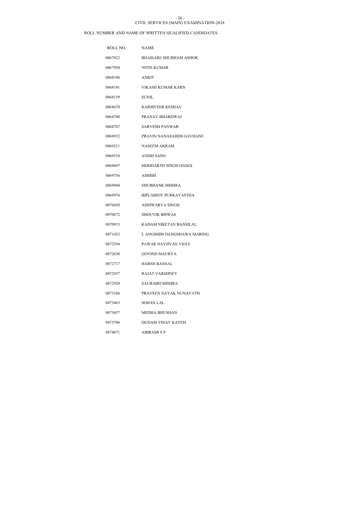#### CIVIL SERVICES (MAIN) EXAMINATION-2018 - 26 -

| ROLL NO. | <b>NAME</b>                   |
|----------|-------------------------------|
| 0867922  | <b>BHAISARE SHUBHAM ASHOK</b> |
| 0867950  | NITIN KUMAR                   |
| 0868106  | <b>ANKIT</b>                  |
| 0868141  | VIKASH KUMAR KARN             |
| 0868159  | <b>SUNIL</b>                  |
| 0868670  | <b>KARMVEER KESHAV</b>        |
| 0868700  | PRANAV BHARDWAJ               |
| 0868767  | <b>SARVESH PANWAR</b>         |
| 0868932  | PRAVIN NANASAHEB GAVHANE      |
| 0869211  | <b>NASEEM AKRAM</b>           |
| 0869510  | <b>ANISH SAINI</b>            |
| 0869697  | SIDDHARTH SINGH DANGI         |
| 0869756  | ASHISH                        |
| 0869968  | <b>SHUBHANK MISHRA</b>        |
| 0869976  | <b>BIPLABJOY PURKAYASTHA</b>  |
| 0870458  | AISHWARYA SINGH               |
| 0870672  | <b>SHOUVIK BISWAS</b>         |
| 0870913  | KADAM NIKETAN BANSILAL        |
| 0871432  | L ANGSHIM DANGSHAWA MARING    |
| 0872594  | PAWAR NAVJIVAN VIJAY          |
| 0872630  | <b>GOVIND MAURYA</b>          |
| 0872717  | HARSH BANSAL                  |
| 0872937  | <b>RAJAT VARSHNEY</b>         |
| 0872958  | SAURABH MISHRA                |
| 0873108  | PRAVEEN NAYAK NUNAVATH        |
| 0873463  | <b>SOHAN LAL</b>              |
| 0873657  | MEDHA BHUSHAN                 |
| 0873706  | DUDAM VINAY KANTH             |
| 0874071  | <b>ABIRAMI S P</b>            |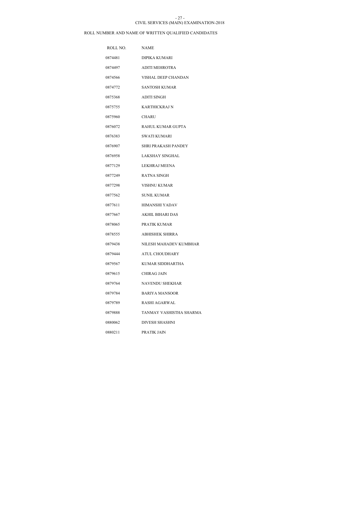### CIVIL SERVICES (MAIN) EXAMINATION-2018 - 27 -

| ROLL NO. | <b>NAME</b>                |
|----------|----------------------------|
| 0874481  | DIPIKA KUMARI              |
| 0874497  | <b>ADITI MEHROTRA</b>      |
| 0874566  | VISHAL DEEP CHANDAN        |
| 0874772  | SANTOSH KUMAR              |
| 0875368  | <b>ADITI SINGH</b>         |
| 0875755  | <b>KARTHICKRAJ N</b>       |
| 0875960  | <b>CHARU</b>               |
| 0876072  | RAHUL KUMAR GUPTA          |
| 0876383  | SWATI KUMARI               |
| 0876907  | <b>SHRI PRAKASH PANDEY</b> |
| 0876958  | <b>LAKSHAY SINGHAL</b>     |
| 0877129  | LEKHRAJ MEENA              |
| 0877249  | RATNA SINGH                |
| 0877298  | VISHNU KUMAR               |
| 0877562  | <b>SUNIL KUMAR</b>         |
| 0877611  | <b>HIMANSHI YADAV</b>      |
| 0877667  | <b>AKHIL BIHARI DAS</b>    |
| 0878065  | PRATIK KUMAR               |
| 0878555  | ABHISHEK SHIRRA            |
| 0879438  | NILESH MAHADEV KUMBHAR     |
| 0879444  | <b>ATUL CHOUDHARY</b>      |
| 0879567  | KUMAR SIDDHARTHA           |
| 0879615  | <b>CHIRAG JAIN</b>         |
| 0879764  | NAVENDU SHEKHAR            |
| 0879784  | <b>BARIYA MANSOOR</b>      |
| 0879789  | RASHI AGARWAL              |
| 0879888  | TANMAY VASHISTHA SHARMA    |
| 0880062  | DIVESH SHASHNI             |
| 0880211  | PRATIK JAIN                |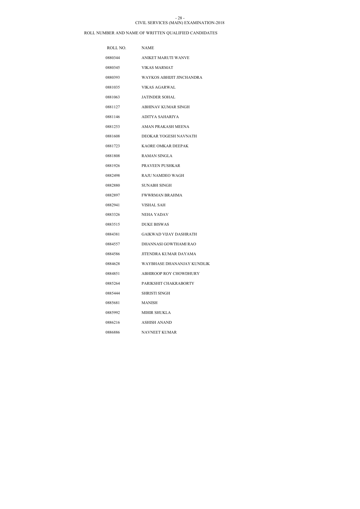#### CIVIL SERVICES (MAIN) EXAMINATION-2018 - 28 -

| ROLL NO. | <b>NAME</b>                   |
|----------|-------------------------------|
| 0880344  | ANIKET MARUTI WANVE           |
| 0880345  | VIKAS MARMAT                  |
| 0880393  | WAYKOS ABHIJIT JINCHANDRA     |
| 0881035  | VIKAS AGARWAL                 |
| 0881063  | <b>JATINDER SOHAL</b>         |
| 0881127  | <b>ABHINAV KUMAR SINGH</b>    |
| 0881146  | ADITYA SAHARIYA               |
| 0881253  | AMAN PRAKASH MEENA            |
| 0881608  | DEOKAR YOGESH NAVNATH         |
| 0881723  | KAORE OMKAR DEEPAK            |
| 0881808  | RAMAN SINGLA                  |
| 0881926  | PRAVEEN PUSHKAR               |
| 0882498  | RAJU NAMDEO WAGH              |
| 0882880  | <b>SUNABH SINGH</b>           |
| 0882897  | <b>FWWRMAN BRAHMA</b>         |
| 0882941  | VISHAL SAH                    |
| 0883326  | NEHA YADAV                    |
| 0883515  | <b>DUKE BISWAS</b>            |
| 0884381  | <b>GAIKWAD VIJAY DASHRATH</b> |
| 0884557  | DHANNASI GOWTHAMI RAO         |
| 0884586  | JITENDRA KUMAR DAYAMA         |
| 0884628  | WAYBHASE DHANANJAY KUNDLIK    |
| 0884851  | ABHIROOP ROY CHOWDHURY        |
| 0885264  | PARIKSHIT CHAKRABORTY         |
| 0885444  | SHRISTI SINGH                 |
| 0885681  | MANISH                        |
| 0885992  | <b>MIHIR SHUKLA</b>           |
| 0886216  | ASHISH ANAND                  |
| 0886886  | NAVNEET KUMAR                 |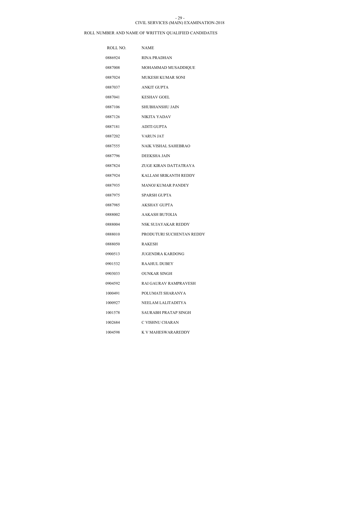#### CIVIL SERVICES (MAIN) EXAMINATION-2018 - 29 -

| ROLL NO. | <b>NAME</b>                 |
|----------|-----------------------------|
| 0886924  | <b>RINA PRADHAN</b>         |
| 0887008  | MOHAMMAD MUSADDIQUE         |
| 0887024  | MUKESH KUMAR SONI           |
| 0887037  | <b>ANKIT GUPTA</b>          |
| 0887041  | <b>KESHAV GOEL</b>          |
| 0887106  | <b>SHUBHANSHU JAIN</b>      |
| 0887126  | NIKITA YADAV                |
| 0887181  | ADITI GUPTA                 |
| 0887202  | <b>VARUN JAT</b>            |
| 0887555  | <b>NAIK VISHAL SAHEBRAO</b> |
| 0887796  | DEEKSHA JAIN                |
| 0887824  | ZUGE KIRAN DATTATRAYA       |
| 0887924  | KALLAM SRIKANTH REDDY       |
| 0887935  | <b>MANOJ KUMAR PANDEY</b>   |
| 0887975  | SPARSH GUPTA                |
| 0887985  | <b>AKSHAY GUPTA</b>         |
| 0888002  | <b>AAKASH BUTOLIA</b>       |
| 0888004  | NSK SUJAYAKAR REDDY         |
| 0888010  | PRODUTURI SUCHENTAN REDDY   |
| 0888050  | RAKESH                      |
| 0900513  | <b>JUGENDRA KARDONG</b>     |
| 0901532  | <b>RAAHUL DUBEY</b>         |
| 0903033  | <b>OUNKAR SINGH</b>         |
| 0904592  | RAI GAURAV RAMPRAVESH       |
| 1000491  | POLUMATI SHARANYA           |
| 1000927  | NEELAM LALITADITYA          |
| 1001578  | SAURABH PRATAP SINGH        |
| 1002684  | C VISHNU CHARAN             |
| 1004598  | K V MAHESWARAREDDY          |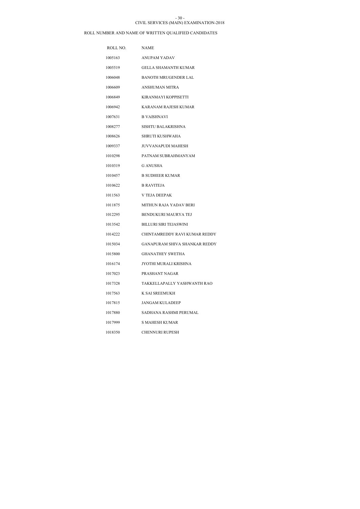### CIVIL SERVICES (MAIN) EXAMINATION-2018 - 30 -

| ROLL NO. | <b>NAME</b>                          |
|----------|--------------------------------------|
| 1005163  | ANUPAM YADAV                         |
| 1005519  | <b>GELLA SHAMANTH KUMAR</b>          |
| 1006048  | <b>BANOTH MRUGENDER LAL</b>          |
| 1006609  | <b>ANSHUMAN MITRA</b>                |
| 1006849  | KIRANMAYI KOPPISETTI                 |
| 1006942  | <b>KARANAM RAJESH KUMAR</b>          |
| 1007631  | <b>B VAISHNAVI</b>                   |
| 1008277  | SISHTU BALAKRISHNA                   |
| 1008626  | <b>SHRUTI KUSHWAHA</b>               |
| 1009337  | <b>JUVVANAPUDI MAHESH</b>            |
| 1010298  | PATNAM SUBRAHMANYAM                  |
| 1010319  | <b>G ANUSHA</b>                      |
| 1010457  | <b>B SUDHEER KUMAR</b>               |
| 1010622  | <b>B RAVITEJA</b>                    |
| 1011563  | <b>V TEJA DEEPAK</b>                 |
| 1011875  | <b>MITHUN RAJA YADAV BERI</b>        |
| 1012295  | <b>BENDUKURI MAURYA TEJ</b>          |
| 1013542  | <b>BILLURI SIRI TEJASWINI</b>        |
| 1014222  | CHINTAMREDDY RAVI KUMAR REDDY        |
| 1015034  | <b>GANAPURAM SHIVA SHANKAR REDDY</b> |
| 1015800  | <b>GHANATHEY SWETHA</b>              |
| 1016174  | JYOTHI MURALI KRISHNA                |
| 1017023  | PRASHANT NAGAR                       |
| 1017328  | TAKKELLAPALLY YASHWANTH RAO          |
| 1017563  | K SAI SREEMUKH                       |
| 1017815  | <b>JANGAM KULADEEP</b>               |
| 1017880  | SADHANA RASHMI PERUMAL               |
| 1017999  | S MAHESH KUMAR                       |
| 1018350  | <b>CHENNURI RUPESH</b>               |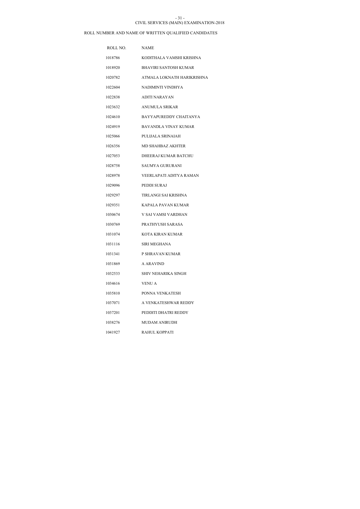### CIVIL SERVICES (MAIN) EXAMINATION-2018 - 31 -

| ROLL NO. | <b>NAME</b>                  |
|----------|------------------------------|
| 1018786  | KODITHALA VAMSHI KRISHNA     |
| 1018920  | <b>BHAVIRI SANTOSH KUMAR</b> |
| 1020782  | ATMALA LOKNATH HARIKRISHNA   |
| 1022604  | NADIMINTI VINDHYA            |
| 1022838  | <b>ADITI NARAYAN</b>         |
| 1023632  | ANUMULA SRIKAR               |
| 1024610  | BAYYAPUREDDY CHAITANYA       |
| 1024919  | BAVANDLA VINAY KUMAR         |
| 1025066  | PULIJALA SRINAJAH            |
| 1026356  | <b>MD SHAHBAZ AKHTER</b>     |
| 1027053  | DHEERAJ KUMAR BATCHU         |
| 1028758  | SAUMYA GURURANI              |
| 1028978  | VEERLAPATI ADITYA RAMAN      |
| 1029096  | PEDDI SURAJ                  |
| 1029297  | TIRLANGI SAI KRISHNA         |
| 1029351  | KAPALA PAVAN KUMAR           |
| 1030674  | V SAI VAMSI VARDHAN          |
| 1030769  | PRATHYUSH SARASA             |
| 1031074  | KOTA KIRAN KUMAR             |
| 1031116  | <b>SIRI MEGHANA</b>          |
| 1031341  | P SHRAVAN KUMAR              |
| 1031869  | A ARAVIND                    |
| 1032533  | SHIV NEHARIKA SINGH          |
| 1034616  | VENU A                       |
| 1035810  | PONNA VENKATESH              |
| 1037071  | A VENKATESHWAR REDDY         |
| 1037201  | PEDDITI DHATRI REDDY         |
| 1038276  | MUDAM ANIRUDH                |
| 1041927  | RAHUL KOPPATI                |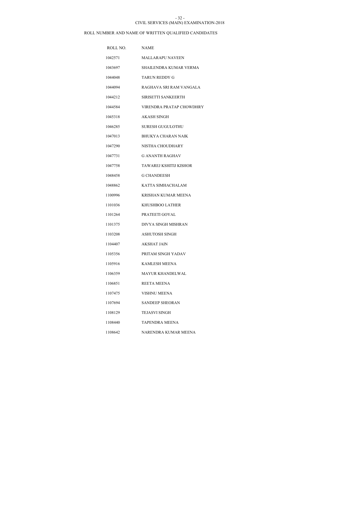#### CIVIL SERVICES (MAIN) EXAMINATION-2018 - 32 -

| ROLL NO. | <b>NAME</b>              |
|----------|--------------------------|
| 1042571  | <b>MALLARAPU NAVEEN</b>  |
| 1043697  | SHAILENDRA KUMAR VERMA   |
| 1044048  | TARUN REDDY G            |
| 1044094  | RAGHAVA SRI RAM VANGALA  |
| 1044212  | SIRISETTI SANKEERTH      |
| 1044584  | VIRENDRA PRATAP CHOWDHRY |
| 1045318  | AKASH SINGH              |
| 1046285  | SURESH GUGULOTHU         |
| 1047013  | BHUKYA CHARAN NAIK       |
| 1047290  | NISTHA CHOUDHARY         |
| 1047731  | <b>G ANANTH RAGHAV</b>   |
| 1047758  | TAWAREJ KSHITIJ KISHOR   |
| 1048458  | G CHANDEESH              |
| 1048862  | KATTA SIMHACHALAM        |
| 1100996  | KRISHAN KUMAR MEENA      |
| 1101036  | KHUSHBOO LATHER          |
| 1101264  | PRATEETI GOYAL           |
| 1101375  | DIVYA SINGH MISHRAN      |
| 1103208  | <b>ASHUTOSH SINGH</b>    |
| 1104407  | <b>AKSHAT JAIN</b>       |
| 1105356  | PRITAM SINGH YADAV       |
| 1105916  | <b>KAMLESH MEENA</b>     |
| 1106359  | <b>MAYUR KHANDELWAL</b>  |
| 1106851  | REETA MEENA              |
| 1107475  | VISHNU MEENA             |
| 1107694  | <b>SANDEEP SHEORAN</b>   |
| 1108129  | TEJASVI SINGH            |
| 1108440  | TAPENDRA MEENA           |
| 1108642  | NARENDRA KUMAR MEENA     |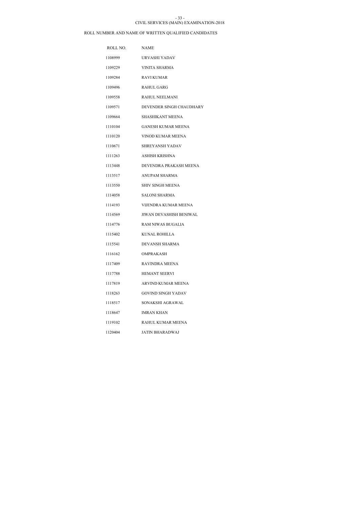#### CIVIL SERVICES (MAIN) EXAMINATION-2018 - 33 -

| ROLL NO. | <b>NAME</b>                    |
|----------|--------------------------------|
| 1108999  | URVASHI YADAV                  |
| 1109229  | <b>VINITA SHARMA</b>           |
| 1109284  | <b>RAVI KUMAR</b>              |
| 1109496  | <b>RAHUL GARG</b>              |
| 1109558  | RAHUL NEELMANI                 |
| 1109571  | DEVENDER SINGH CHAUDHARY       |
| 1109664  | SHASHIKANT MEENA               |
| 1110104  | <b>GANESH KUMAR MEENA</b>      |
| 1110120  | VINOD KUMAR MEENA              |
| 1110671  | <b>SHREYANSH YADAV</b>         |
| 1111263  | ASHISH KRISHNA                 |
| 1113448  | DEVENDRA PRAKASH MEENA         |
| 1113517  | <b>ANUPAM SHARMA</b>           |
| 1113550  | <b>SHIV SINGH MEENA</b>        |
| 1114058  | <b>SALONI SHARMA</b>           |
| 1114193  | VIJENDRA KUMAR MEENA           |
| 1114569  | <b>JIWAN DEVASHISH BENIWAL</b> |
| 1114776  | RAM NIWAS BUGALIA              |
| 1115402  | KUNAL ROHILLA                  |
| 1115541  | DEVANSH SHARMA                 |
| 1116162  | <b>OMPRAKASH</b>               |
| 1117409  | RAVINDRA MEENA                 |
| 1117788  | <b>HEMANT SEERVI</b>           |
| 1117819  | ARVIND KUMAR MEENA             |
| 1118263  | GOVIND SINGH YADAV             |
| 1118517  | SONAKSHI AGRAWAL               |
| 1118647  | <b>IMRAN KHAN</b>              |
| 1119102  | RAHUL KUMAR MEENA              |
| 1120404  | <b>JATIN BHARADWAJ</b>         |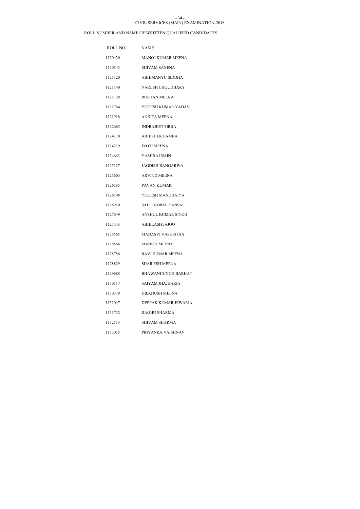### CIVIL SERVICES (MAIN) EXAMINATION-2018 - 34 -

| ROLL NO. | <b>NAME</b>                 |
|----------|-----------------------------|
| 1120420  | <b>MANOJ KUMAR MEENA</b>    |
| 1120543  | <b>SHIVAM SAXENA</b>        |
| 1121120  | ABHIMANYU SIDDHA            |
| 1121140  | <b>NARESH CHOUDHARY</b>     |
| 1121728  | <b>ROSHAN MEENA</b>         |
| 1121764  | YOGESH KUMAR YADAV          |
| 1121918  | ANKITA MEENA                |
| 1122665  | <b>INDRAJEET SIRRA</b>      |
| 1124170  | ABHISHEK LAMBA              |
| 1124219  | <b>JYOTI MEENA</b>          |
| 1124643  | YASHRAJ NAIN                |
| 1125127  | JAGDISH BANGARWA            |
| 1125603  | <b>ARVIND MEENA</b>         |
| 1126183  | PAVAN KUMAR                 |
| 1126198  | YOGESH MANDHAIYA            |
| 1126910  | SALIL GOPAL KANSAL          |
| 1127049  | <b>ANSHUL KUMAR SINGH</b>   |
| 1127343  | <b>ABHILASH JAJOO</b>       |
| 1128565  | MANASVI VASHISTHA           |
| 1128566  | <b>MANISH MEENA</b>         |
| 1128756  | RAVI KUMAR MEENA            |
| 1128829  | SHAILESH MEENA              |
| 1129688  | <b>BHAWANI SINGH BARHAT</b> |
| 1130117  | SAIYAM JHAJHARIA            |
| 1130379  | DILKHUSH MEENA              |
| 1131047  | DEEPAK KUMAR JEWARIA        |
| 1131732  | RAGHU SHARMA                |
| 1132513  | SHIVAM SHARMA               |
| 1133015  | PRIYANKA VAISHNAV           |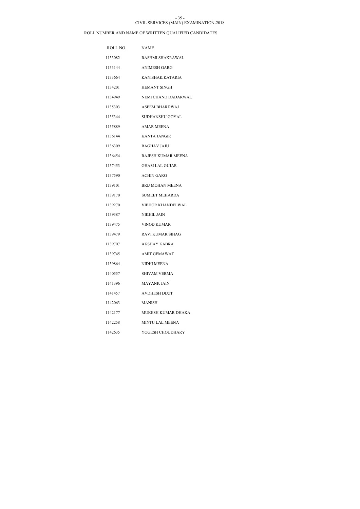#### CIVIL SERVICES (MAIN) EXAMINATION-2018 - 35 -

| ROLL NO. | <b>NAME</b>              |
|----------|--------------------------|
| 1133082  | RASHMI SHAKRAWAL         |
| 1133144  | ANIMESH GARG             |
| 1133664  | KANISHAK KATARIA         |
| 1134201  | <b>HEMANT SINGH</b>      |
| 1134949  | NEMI CHAND DADARWAL      |
| 1135303  | <b>ASEEM BHARDWAJ</b>    |
| 1135344  | SUDHANSHU GOYAL          |
| 1135889  | <b>AMAR MEENA</b>        |
| 1136144  | KANTA JANGIR             |
| 1136309  | <b>RAGHAV JAJU</b>       |
| 1136454  | RAJESH KUMAR MEENA       |
| 1137453  | <b>GHASI LAL GUJAR</b>   |
| 1137590  | <b>ACHIN GARG</b>        |
| 1139101  | <b>BRIJ MOHAN MEENA</b>  |
| 1139170  | <b>SUMEET MEHARDA</b>    |
| 1139270  | <b>VIBHOR KHANDELWAL</b> |
| 1139387  | NIKHIL JAIN              |
| 1139475  | VINOD KUMAR              |
| 1139479  | RAVI KUMAR SIHAG         |
| 1139707  | <b>AKSHAY KABRA</b>      |
| 1139745  | <b>AMIT GEMAWAT</b>      |
| 1139864  | NIDHI MEENA              |
| 1140557  | SHIVAM VERMA             |
| 1141396  | MAYANK JAIN              |
| 1141457  | AVDHESH DIXIT            |
| 1142063  | MANISH                   |
| 1142177  | MUKESH KUMAR DHAKA       |
| 1142258  | <b>MINTU LAL MEENA</b>   |
| 1142635  | YOGESH CHOUDHARY         |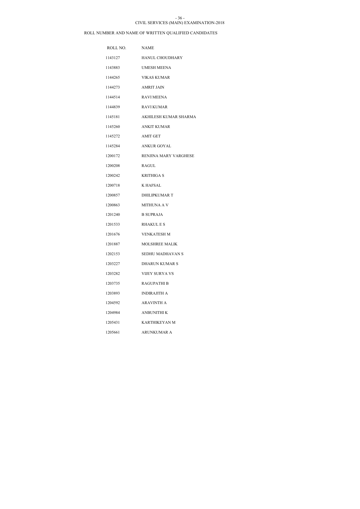#### CIVIL SERVICES (MAIN) EXAMINATION-2018 - 36 -

| ROLL NO. | <b>NAME</b>           |
|----------|-----------------------|
| 1143127  | HANUL CHOUDHARY       |
| 1143883  | <b>UMESH MEENA</b>    |
| 1144265  | <b>VIKAS KUMAR</b>    |
| 1144273  | <b>AMRIT JAIN</b>     |
| 1144514  | <b>RAVI MEENA</b>     |
| 1144839  | RAVI KUMAR            |
| 1145181  | AKHILESH KUMAR SHARMA |
| 1145260  | <b>ANKIT KUMAR</b>    |
| 1145272  | <b>AMIT GET</b>       |
| 1145284  | <b>ANKUR GOYAL</b>    |
| 1200172  | RENJINA MARY VARGHESE |
| 1200208  | <b>RAGUL</b>          |
| 1200242  | <b>KRITHIGA S</b>     |
| 1200718  | <b>K HAFSAL</b>       |
| 1200857  | <b>DHILIPKUMAR T</b>  |
| 1200863  | <b>MITHUNA A V</b>    |
| 1201240  | <b>B SUPRAJA</b>      |
| 1201533  | <b>RHAKUL E S</b>     |
| 1201676  | VENKATESH M           |
| 1201887  | <b>MOLSHREE MALIK</b> |
| 1202153  | SEDHU MADHAVAN S      |
| 1203227  | <b>DHARUN KUMAR S</b> |
| 1203282  | VIJEY SURYA VS        |
| 1203735  | <b>RAGUPATHI B</b>    |
| 1203893  | <b>INDIRAJITH A</b>   |
| 1204592  | <b>ARAVINTH A</b>     |
| 1204984  | ANBUNITHI K           |
| 1205431  | KARTHIKEYAN M         |
| 1205661  | ARUNKUMAR A           |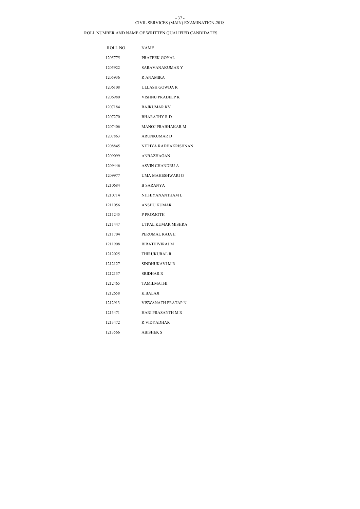#### CIVIL SERVICES (MAIN) EXAMINATION-2018 - 37 -

| ROLL NO. | <b>NAME</b>              |
|----------|--------------------------|
| 1205775  | PRATEEK GOYAL            |
| 1205922  | SARAVANAKUMAR Y          |
| 1205936  | R ANAMIKA                |
| 1206108  | ULLASH GOWDA R           |
| 1206980  | VISHNU PRADEEP K         |
| 1207184  | RAJKUMAR KV              |
| 1207270  | <b>BHARATHY R D</b>      |
| 1207406  | <b>MANOJ PRABHAKAR M</b> |
| 1207863  | <b>ARUNKUMARD</b>        |
| 1208845  | NITHYA RADHAKRISHNAN     |
| 1209099  | ANBAZHAGAN               |
| 1209446  | <b>ASVIN CHANDRU A</b>   |
| 1209977  | UMA MAHESHWARI G         |
| 1210684  | <b>B SARANYA</b>         |
| 1210714  | NITHIYANANTHAM L         |
| 1211056  | <b>ANSHU KUMAR</b>       |
| 1211245  | P PROMOTH                |
| 1211447  | UTPAL KUMAR MISHRA       |
| 1211704  | PERUMAL RAJA E           |
| 1211908  | <b>BIRATHIVIRAJ M</b>    |
| 1212025  | <b>THIRUKURAL R</b>      |
| 1212127  | SINDHUKAVI M R           |
| 1212137  | SRIDHAR R                |
| 1212465  | <b>TAMILMATHI</b>        |
| 1212658  | K BALAJI                 |
| 1212913  | VISWANATH PRATAP N       |
| 1213471  | HARI PRASANTH M R        |
| 1213472  | R VIDYADHAR              |
| 1213566  | <b>ABISHEK S</b>         |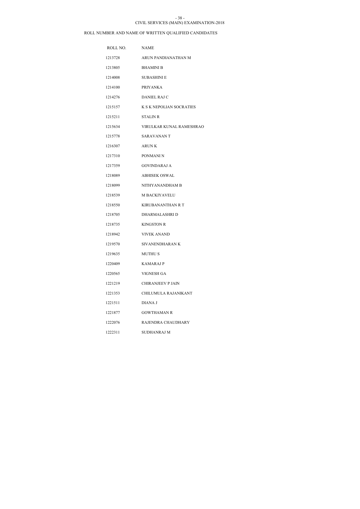#### CIVIL SERVICES (MAIN) EXAMINATION-2018 - 38 -

| ROLL NO. | <b>NAME</b>              |
|----------|--------------------------|
| 1213728  | ARUN PANDIANATHAN M      |
| 1213805  | <b>BHAMINI B</b>         |
| 1214008  | <b>SUBASHINI E</b>       |
| 1214100  | <b>PRIYANKA</b>          |
| 1214276  | <b>DANIEL RAJ C</b>      |
| 1215157  | K S K NEPOLIAN SOCRATIES |
| 1215211  | <b>STALIN R</b>          |
| 1215634  | VIRULKAR KUNAL RAMESHRAO |
| 1215778  | SARAVANAN T              |
| 1216307  | ARUN K                   |
| 1217310  | PONMANI N                |
| 1217359  | <b>GOVINDARAJ A</b>      |
| 1218089  | <b>ABHISEK OSWAL</b>     |
| 1218099  | NITHY ANANDHAM B         |
| 1218539  | M BACKIYAVELU            |
| 1218550  | <b>KIRUBANANTHAN R T</b> |
| 1218705  | DHARMALASHRI D           |
| 1218735  | <b>KINGSTON R</b>        |
| 1218942  | <b>VIVEK ANAND</b>       |
| 1219570  | SIVANENDHARAN K          |
| 1219635  | <b>MUTHUS</b>            |
| 1220409  | <b>KAMARAJP</b>          |
| 1220565  | VIGNESH GA               |
| 1221219  | <b>CHIRANJEEV P JAIN</b> |
| 1221353  | CHILUMULA RAJANIKANT     |
| 1221511  | DIANA J                  |
| 1221877  | <b>GOWTHAMAN R</b>       |
| 1222076  | RAJENDRA CHAUDHARY       |
| 1222311  | SUDHANRAJ M              |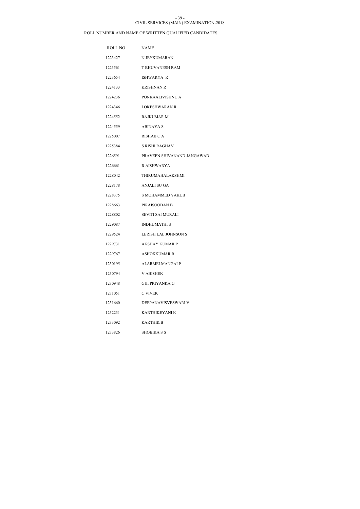#### CIVIL SERVICES (MAIN) EXAMINATION-2018 - 39 -

| ROLL NO. | <b>NAME</b>                 |
|----------|-----------------------------|
| 1223427  | N JEYKUMARAN                |
| 1223561  | <b>T BHUVANESH RAM</b>      |
| 1223654  | ISHWARYA R                  |
| 1224133  | <b>KRISHNAN R</b>           |
| 1224236  | PONKAALIVISHNU A            |
| 1224346  | LOKESHWARAN R               |
| 1224552  | <b>RAJKUMAR M</b>           |
| 1224559  | ABINAYA S                   |
| 1225007  | <b>RISHAB C A</b>           |
| 1225384  | <b>S RISHI RAGHAV</b>       |
| 1226591  | PRAVEEN SHIVANAND JANGAWAD  |
| 1226661  | R AISHWARYA                 |
| 1228042  | THIRUMAHALAKSHMI            |
| 1228178  | ANJALI SU GA                |
| 1228375  | <b>S MOHAMMED YAKUB</b>     |
| 1228663  | PIRAISOODAN B               |
| 1228802  | SEVITI SAI MURALI           |
| 1229087  | <b>INDHUMATHI S</b>         |
| 1229524  | <b>LERISH LAL JOHNSON S</b> |
| 1229731  | <b>AKSHAY KUMAR P</b>       |
| 1229767  | <b>ASHOKKUMAR R</b>         |
| 1230195  | <b>ALARMELMANGAIP</b>       |
| 1230794  | <b>V ABISHEK</b>            |
| 1230948  | GIJI PRIYANKA G             |
| 1231051  | C VIVEK                     |
| 1231660  | DEEPANAVISVESWARI V         |
| 1232231  | KARTHIKEYANI K              |
| 1233092  | KARTHIK B                   |
| 1233826  | <b>SHOBIKA S S</b>          |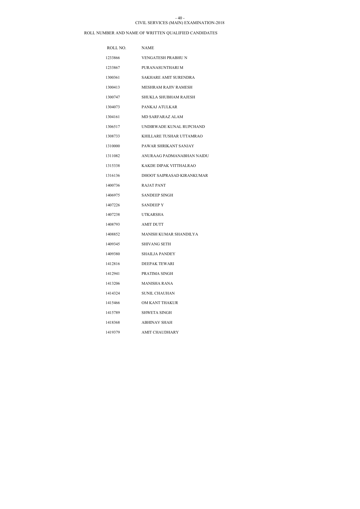#### CIVIL SERVICES (MAIN) EXAMINATION-2018 - 40 -

| ROLL NO. | <b>NAME</b>                  |
|----------|------------------------------|
| 1233866  | <b>VENGATESH PRABHU N</b>    |
| 1233867  | PURANASUNTHARI M             |
| 1300361  | <b>SAKHARE AMIT SURENDRA</b> |
| 1300413  | <b>MESHRAM RAJIV RAMESH</b>  |
| 1300747  | <b>SHUKLA SHUBHAM RAJESH</b> |
| 1304073  | PANKAJ ATULKAR               |
| 1304161  | MD SARFARAZ ALAM             |
| 1306517  | UNDIRWADE KUNAL RUPCHAND     |
| 1308733  | KHILLARE TUSHAR UTTAMRAO     |
| 1310000  | PAWAR SHRIKANT SANJAY        |
| 1311082  | ANURAAG PADMANABHAN NAIDU    |
| 1315338  | KAKDE DIPAK VITTHALRAO       |
| 1316136  | DHOOT SAIPRASAD KIRANKUMAR   |
| 1400736  | <b>RAJAT PANT</b>            |
| 1406975  | <b>SANDEEP SINGH</b>         |
| 1407226  | <b>SANDEEPY</b>              |
| 1407238  | <b>UTKARSHA</b>              |
| 1408793  | <b>AMIT DUTT</b>             |
| 1408852  | MANISH KUMAR SHANDILYA       |
| 1409345  | <b>SHIVANG SETH</b>          |
| 1409380  | <b>SHAILJA PANDEY</b>        |
| 1412816  | <b>DEEPAK TEWARI</b>         |
| 1412941  | PRATIMA SINGH                |
| 1413206  | MANISHA RANA                 |
| 1414324  | SUNIL CHAUHAN                |
| 1415466  | OM KANT THAKUR               |
| 1415789  | SHWETA SINGH                 |
| 1418368  | <b>ABHINAV SHAH</b>          |
| 1419379  | AMIT CHAUDHARY               |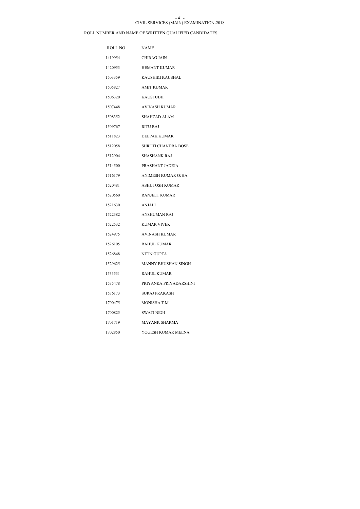### CIVIL SERVICES (MAIN) EXAMINATION-2018 - 41 -

| ROLL NO. | <b>NAME</b>                |
|----------|----------------------------|
| 1419954  | CHIRAG JAIN                |
| 1420953  | <b>HEMANT KUMAR</b>        |
| 1503359  | KAUSHIKI KAUSHAL           |
| 1505827  | <b>AMIT KUMAR</b>          |
| 1506320  | <b>KAUSTUBH</b>            |
| 1507448  | AVINASH KUMAR              |
| 1508352  | <b>SHAHZAD ALAM</b>        |
| 1509767  | <b>RITU RAJ</b>            |
| 1511823  | DEEPAK KUMAR               |
| 1512058  | <b>SHRUTI CHANDRA BOSE</b> |
| 1512904  | SHASHANK RAJ               |
| 1514500  | PRASHANT JADEJA            |
| 1516179  | ANIMESH KUMAR OJHA         |
| 1520481  | <b>ASHUTOSH KUMAR</b>      |
| 1520560  | RANJEET KUMAR              |
| 1521630  | ANJALI                     |
| 1522382  | <b>ANSHUMAN RAJ</b>        |
| 1522532  | <b>KUMAR VIVEK</b>         |
| 1524975  | AVINASH KUMAR              |
| 1526105  | <b>RAHUL KUMAR</b>         |
| 1526848  | <b>NITIN GUPTA</b>         |
| 1529625  | MANNY BHUSHAN SINGH        |
| 1533531  | <b>RAHUL KUMAR</b>         |
| 1535478  | PRIYANKA PRIYADARSHINI     |
| 1536173  | SURAJ PRAKASH              |
| 1700475  | MONISHA T M                |
| 1700825  | SWATI NEGI                 |
| 1701719  | <b>MAYANK SHARMA</b>       |
| 1702850  | YOGESH KUMAR MEENA         |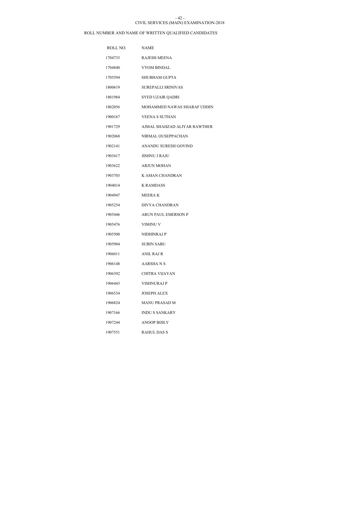### CIVIL SERVICES (MAIN) EXAMINATION-2018 - 42 -

| ROLL NO. | <b>NAME</b>                  |
|----------|------------------------------|
| 1704733  | <b>RAJESH MEENA</b>          |
| 1704840  | <b>VYOM BINDAL</b>           |
| 1705594  | <b>SHUBHAM GUPTA</b>         |
| 1800619  | <b>SUREPALLI SRINIVAS</b>    |
| 1801984  | SYED UZAIR QADRI             |
| 1802056  | MOHAMMED NAWAS SHARAF UDDIN  |
| 1900167  | <b>VEENA S SUTHAN</b>        |
| 1901729  | AJMAL SHAHZAD ALIYAR RAWTHER |
| 1902068  | NIRMAL OUSEPPACHAN           |
| 1902141  | ANANDU SURESH GOVIND         |
| 1903417  | <b>JISHNU J RAJU</b>         |
| 1903622  | <b>ARJUN MOHAN</b>           |
| 1903703  | K AMAN CHANDRAN              |
| 1904014  | <b>K RAMDASS</b>             |
| 1904947  | <b>MEERAK</b>                |
| 1905254  | DIVYA CHANDRAN               |
| 1905446  | ARUN PAUL EMERSON P          |
| 1905476  | <b>VISHNU V</b>              |
| 1905500  | NIDHINRAJ P                  |
| 1905904  | SUBIN SABU                   |
| 1906011  | <b>ANIL RAJ R</b>            |
| 1906148  | AARSHA N S                   |
| 1906392  | CHITRA VIJAYAN               |
| 1906443  | VISHNURAJ P                  |
| 1906534  | <b>JOSEPH ALEX</b>           |
| 1906824  | <b>MANU PRASAD M</b>         |
| 1907166  | <b>INDU S SANKARY</b>        |
| 1907244  | <b>ANOOP BIJILY</b>          |
| 1907551  | <b>RAHUL DAS S</b>           |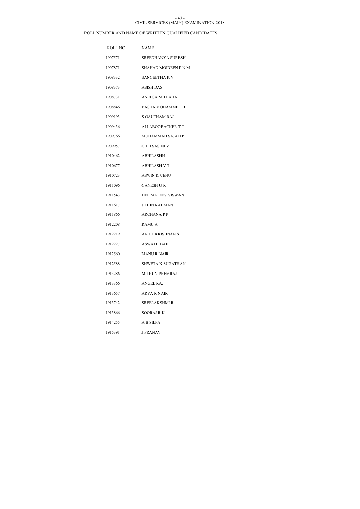#### CIVIL SERVICES (MAIN) EXAMINATION-2018 - 43 -

| ROLL NO. | <b>NAME</b>                 |
|----------|-----------------------------|
| 1907571  | <b>SREEDHANYA SURESH</b>    |
| 1907871  | <b>SHAHAD MOIDEEN P N M</b> |
| 1908332  | SANGEETHA K V               |
| 1908373  | <b>ASISH DAS</b>            |
| 1908731  | ANEESA M THAHA              |
| 1908846  | <b>BASHA MOHAMMED B</b>     |
| 1909193  | S GAUTHAM RAJ               |
| 1909436  | ALI ABOOBACKER T T          |
| 1909766  | MUHAMMAD SAJAD P            |
| 1909957  | CHELSASINI V                |
| 1910462  | <b>ABHILASHH</b>            |
| 1910677  | <b>ABHILASH V T</b>         |
| 1910723  | <b>ASWIN K VENU</b>         |
| 1911096  | <b>GANESH U R</b>           |
| 1911543  | DEEPAK DEV VISWAN           |
| 1911617  | <b>JITHIN RAHMAN</b>        |
| 1911866  | <b>ARCHANAPP</b>            |
| 1912208  | <b>RAMU A</b>               |
| 1912219  | <b>AKHIL KRISHNAN S</b>     |
| 1912227  | <b>ASWATH BAJI</b>          |
| 1912560  | <b>MANU R NAIR</b>          |
| 1912588  | SHWETA K SUGATHAN           |
| 1913286  | <b>MITHUN PREMRAJ</b>       |
| 1913366  | ANGEL RAJ                   |
| 1913657  | ARYA R NAIR                 |
| 1913742  | SREELAKSHMI R               |
| 1913866  | SOORAJ R K                  |
| 1914255  | A B SILPA                   |
| 1915391  | <b>J PRANAV</b>             |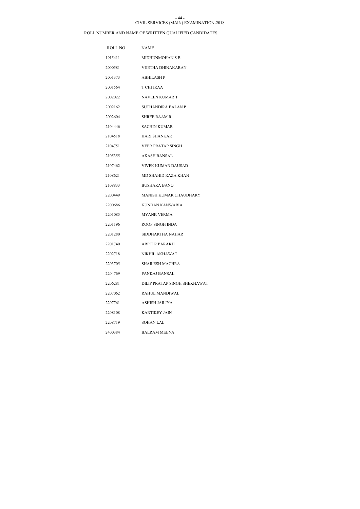### CIVIL SERVICES (MAIN) EXAMINATION-2018 - 44 -

| ROLL NO. | <b>NAME</b>                   |
|----------|-------------------------------|
| 1915411  | MIDHUNMOHAN S B               |
| 2000581  | VIJETHA DHINAKARAN            |
| 2001373  | <b>ABHILASH P</b>             |
| 2001564  | <b>T CHITRAA</b>              |
| 2002022  | <b>NAVEEN KUMAR T</b>         |
| 2002162  | <b>SUTHANDIRA BALAN P</b>     |
| 2002604  | <b>SHREE RAAM R</b>           |
| 2104446  | SACHIN KUMAR                  |
| 2104518  | HARI SHANKAR                  |
| 2104751  | <b>VEER PRATAP SINGH</b>      |
| 2105355  | AKASH BANSAL                  |
| 2107462  | VIVEK KUMAR DAUSAD            |
| 2108621  | <b>MD SHAHID RAZA KHAN</b>    |
| 2108833  | <b>BUSHARA BANO</b>           |
| 2200449  | <b>MANISH KUMAR CHAUDHARY</b> |
| 2200686  | KUNDAN KANWARIA               |
| 2201085  | <b>MYANK VERMA</b>            |
| 2201196  | ROOP SINGH INDA               |
| 2201280  | SIDDHARTHA NAHAR              |
| 2201740  | <b>ARPIT R PARAKH</b>         |
| 2202718  | NIKHIL AKHAWAT                |
| 2203705  | <b>SHAILESH MACHRA</b>        |
| 2204769  | PANKAJ BANSAL                 |
| 2206281  | DILIP PRATAP SINGH SHEKHAWAT  |
| 2207062  | RAHUL MANDIWAL                |
| 2207761  | ASHISH JAILIYA                |
| 2208108  | <b>KARTIKEY JAIN</b>          |
| 2208719  | SOHAN LAL                     |
| 2400384  | <b>BALRAM MEENA</b>           |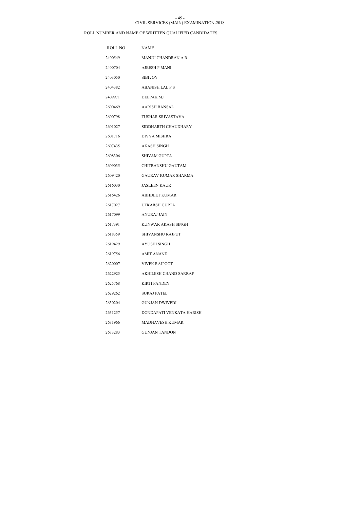#### CIVIL SERVICES (MAIN) EXAMINATION-2018 - 45 -

| ROLL NO. | <b>NAME</b>                |
|----------|----------------------------|
| 2400549  | <b>MANJU CHANDRAN A R</b>  |
| 2400704  | AJEESH P MANI              |
| 2403050  | <b>SIBI JOY</b>            |
| 2404382  | <b>ABANISH LAL P S</b>     |
| 2409971  | <b>DEEPAK MJ</b>           |
| 2600469  | AARISH BANSAL              |
| 2600798  | TUSHAR SRIVASTAVA          |
| 2601027  | SIDDHARTH CHAUDHARY        |
| 2601716  | <b>DIVYA MISHRA</b>        |
| 2607435  | <b>AKASH SINGH</b>         |
| 2608306  | SHIVAM GUPTA               |
| 2609035  | CHITRANSHU GAUTAM          |
| 2609420  | <b>GAURAV KUMAR SHARMA</b> |
| 2616030  | <b>JASLEEN KAUR</b>        |
| 2616426  | <b>ABHIJEET KUMAR</b>      |
| 2617027  | UTKARSH GUPTA              |
| 2617099  | ANURAJ JAIN                |
| 2617391  | KUNWAR AKASH SINGH         |
| 2618359  | SHIVANSHU RAJPUT           |
| 2619429  | AYUSHI SINGH               |
| 2619756  | <b>AMIT ANAND</b>          |
| 2620007  | <b>VIVEK RAJPOOT</b>       |
| 2622925  | AKHILESH CHAND SARRAF      |
| 2625768  | <b>KIRTI PANDEY</b>        |
| 2629262  | <b>SURAJ PATEL</b>         |
| 2630204  | <b>GUNJAN DWIVEDI</b>      |
| 2631257  | DONDAPATI VENKATA HARISH   |
| 2631966  | MADHAVESH KUMAR            |
| 2633283  | <b>GUNJAN TANDON</b>       |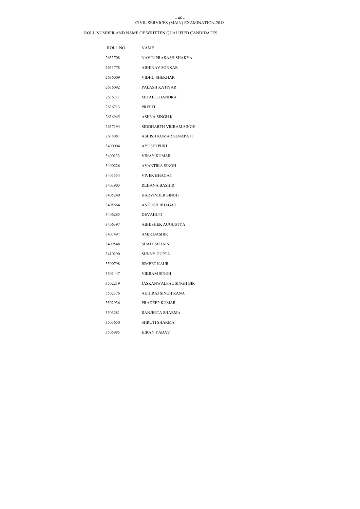### CIVIL SERVICES (MAIN) EXAMINATION-2018 - 46 -

| ROLL NO. | <b>NAME</b>                   |
|----------|-------------------------------|
| 2633708  | NAVIN PRAKASH SHAKYA          |
| 2633778  | <b>ABHINAV SONKAR</b>         |
| 2636009  | <b>VIDHU SHEKHAR</b>          |
| 2636092  | PALASH KATIYAR                |
| 2636711  | <b>MITALI CHANDRA</b>         |
| 2636713  | <b>PREETI</b>                 |
| 2636945  | ASHNA SINGH K                 |
| 2637194  | SIDDHARTH VIKRAM SINGH        |
| 2638081  | ASHISH KUMAR SENAPATI         |
| 3400004  | AYUSHI PURI                   |
| 3400133  | VINAY KUMAR                   |
| 3400226  | <b>AVANTIKA SINGH</b>         |
| 3403554  | <b>VIVEK BHAGAT</b>           |
| 3403903  | <b>REHANA BASHIR</b>          |
| 3405240  | <b>HARVINDER SINGH</b>        |
| 3405664  | <b>ANKUSH BHAGAT</b>          |
| 3406285  | <b>DEVAHUTI</b>               |
| 3406397  | ABHISHEK AUGUSTYA             |
| 3407497  | <b>AMIR BASHIR</b>            |
| 3409548  | <b>SHALESH JAIN</b>           |
| 3410290  | <b>SUNNY GUPTA</b>            |
| 3500798  | <b>ISMEET KAUR</b>            |
| 3501447  | VIKRAM SINGH                  |
| 3502219  | <b>JASKANWALPAL SINGH BIR</b> |
| 3502376  | ADHIRAJ SINGH RANA            |
| 3502936  | PRADEEP KUMAR                 |
| 3503281  | RANJEETA SHARMA               |
| 3503650  | SHRUTI SHARMA                 |
| 3505985  | <b>KIRAN YADAV</b>            |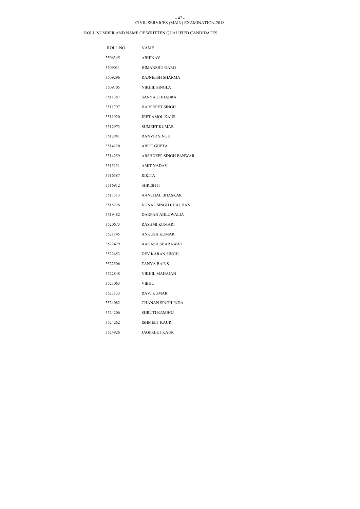### CIVIL SERVICES (MAIN) EXAMINATION-2018 - 47 -

| ROLL NO. | <b>NAME</b>              |
|----------|--------------------------|
| 3506345  | ABHINAV                  |
| 3509011  | HIMANSHU GARG            |
| 3509296  | RAJNEESH SHARMA          |
| 3509705  | NIKHIL SINGLA            |
| 3511387  | SANYA CHHABRA            |
| 3511797  | <b>HARPREET SINGH</b>    |
| 3511920  | JEET AMOL KAUR           |
| 3512973  | <b>SUMEET KUMAR</b>      |
| 3512981  | <b>RANVIR SINGH</b>      |
| 3514120  | <b>ARPIT GUPTA</b>       |
| 3514259  | ARSHDEEP SINGH PANWAR    |
| 3515131  | AMIT YADAV               |
| 3516587  | RIKITA                   |
| 3516912  | <b>SHRISHTI</b>          |
| 3517313  | AANCHAL BHASKAR          |
| 3518226  | KUNAL SINGH CHAUHAN      |
| 3519482  | DARPAN AHLUWALIA         |
| 3520673  | <b>RASHMI KUMARI</b>     |
| 3521145  | <b>ANKUSH KUMAR</b>      |
| 3522429  | AAKASH SHARAWAT          |
| 3522453  | DEV KARAN SINGH          |
| 3522506  | <b>TANYA BAINS</b>       |
| 3522848  | NIKHIL MAHAJAN           |
| 3523063  | VIBHU                    |
| 3523133  | <b>RAVI KUMAR</b>        |
| 3524082  | <b>CHANAN SINGH INDA</b> |
| 3524206  | SHRUTI KAMBOJ            |
| 3524262  | <b>ISHMEET KAUR</b>      |
| 3524926  | <b>JAGPREET KAUR</b>     |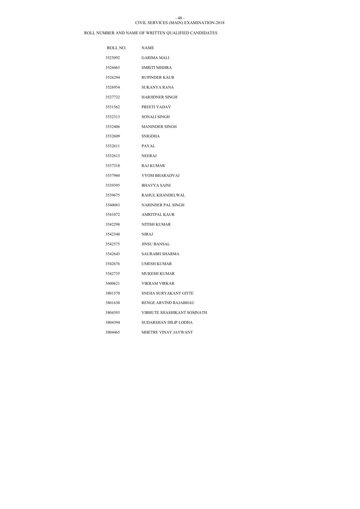#### CIVIL SERVICES (MAIN) EXAMINATION-2018 - 48 -

| ROLL NO. NAME |                              |
|---------------|------------------------------|
| 3525092       | <b>GARIMA MALI</b>           |
| 3526065       | <b>SMRITI MISHRA</b>         |
| 3526294       | <b>RUPINDER KAUR</b>         |
| 3526954       | <b>SUKANYA RANA</b>          |
| 3527732       | <b>HARJIDNER SINGH</b>       |
| 3531562       | PREETI YADAV                 |
| 3532313       | SONALI SINGH                 |
| 3532406       | <b>MANINDER SINGH</b>        |
| 3532609       | SNIGDHA                      |
| 3532611       | PAYAL                        |
| 3532613       | NEERAJ                       |
| 3537318       | RAJ KUMAR                    |
| 3537960       | VYOM BHARADVAJ               |
| 3539395       | <b>BHAVYA SAINI</b>          |
| 3539675       | RAHUL KHANDELWAL             |
| 3540083       | NARINDER PAL SINGH           |
| 3541072       | <b>AMRITPAL KAUR</b>         |
| 3542298       | NITISH KUMAR                 |
| 3542340       | <b>NIRAJ</b>                 |
| 3542575       | <b>JINSU BANSAL</b>          |
| 3542643       | <b>SAURABH SHARMA</b>        |
| 3542676       | <b>UMESH KUMAR</b>           |
| 3542735       | MUKESH KUMAR                 |
| 3600621       | <b>VIKRAM VIRKAR</b>         |
| 3801570       | SNEHA SURYAKANT GITTE        |
| 3801630       | RENGE ARVIND RAJABHAU        |
| 3804393       | VIBHUTE SHASHIKANT SOMNATH   |
| 3804394       | <b>SUDARSHAN DILIP LODHA</b> |
| 3804465       | MHETRE VINAY JAYWANT         |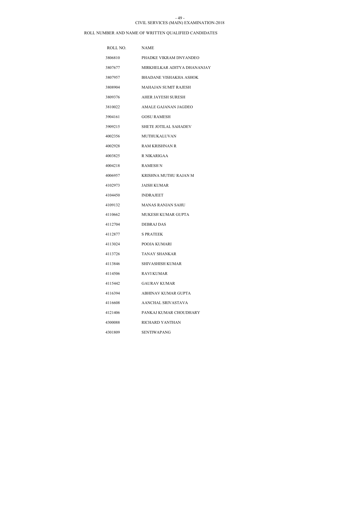#### CIVIL SERVICES (MAIN) EXAMINATION-2018 - 49 -

| ROLL NO. | <b>NAME</b>                   |
|----------|-------------------------------|
| 3806810  | PHADKE VIKRAM DNYANDEO        |
| 3807677  | MIRKHELKAR ADITYA DHANANJAY   |
| 3807957  | <b>BHADANE VISHAKHA ASHOK</b> |
| 3808904  | <b>MAHAJAN SUMIT RAJESH</b>   |
| 3809376  | AHER JAYESH SURESH            |
| 3810022  | AMALE GAJANAN JAGDEO          |
| 3904161  | <b>GOSU RAMESH</b>            |
| 3909215  | <b>SHETE JOTILAL SAHADEV</b>  |
| 4002356  | MUTHUKALUVAN                  |
| 4002928  | <b>RAM KRISHNAN R</b>         |
| 4003825  | R NIKARIGAA                   |
| 4004218  | <b>RAMESH N</b>               |
| 4006957  | KRISHNA MUTHU RAJAN M         |
| 4102973  | <b>JAISH KUMAR</b>            |
| 4104450  | <b>INDRAJEET</b>              |
| 4109132  | <b>MANAS RANJAN SAHU</b>      |
| 4110662  | MUKESH KUMAR GUPTA            |
| 4112704  | <b>DEBRAJ DAS</b>             |
| 4112877  | <b>S PRATEEK</b>              |
| 4113024  | POOJA KUMARI                  |
| 4113726  | <b>TANAY SHANKAR</b>          |
| 4113846  | SHIVASHISH KUMAR              |
| 4114506  | <b>RAVI KUMAR</b>             |
| 4115442  | <b>GAURAV KUMAR</b>           |
| 4116394  | ABHINAV KUMAR GUPTA           |
| 4116608  | AANCHAL SRIVASTAVA            |
| 4121406  | PANKAJ KUMAR CHOUDHARY        |
| 4300088  | RICHARD YANTHAN               |
| 4301809  | SENTIWAPANG                   |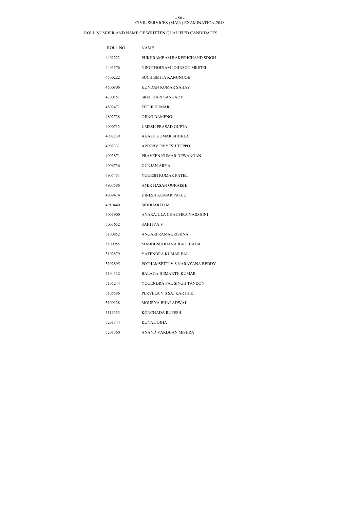### CIVIL SERVICES (MAIN) EXAMINATION-2018 - 50 -

| ROLL NO. | <b>NAME</b>                    |
|----------|--------------------------------|
| 4401223  | PUKHRAMBAM RAKESHCHAND SINGH   |
| 4403576  | NINGTHOUJAM JOHNSON MEETEI     |
| 4500222  | <b>SUCHISMITA KANUNGOE</b>     |
| 4500806  | KUNDAN KUMAR SAHAY             |
| 4700151  | <b>SREE HARI SANKAR P</b>      |
| 4802471  | <b>TECHI KUMAR</b>             |
| 4802738  | <b>OJING DAMENG</b>            |
| 4900713  | UMESH PRASAD GUPTA             |
| 4902239  | AKASH KUMAR SHUKLA             |
| 4902331  | APOORV PRIYESH TOPPO           |
| 4903871  | PRAVEEN KUMAR DEWANGAN         |
| 4906736  | <b>GUNJAN ARYA</b>             |
| 4907451  | YOGESH KUMAR PATEL             |
| 4907586  | AMIR HASAN QURAISHI            |
| 4909474  | DINESH KUMAR PATEL             |
| 4910440  | SIDDHARTH M                    |
| 5001900  | ANARAJULA CHAITHRA VARSHINI    |
| 5003652  | SAHITYA V                      |
| 5100852  | ANGARI RAMAKRISHNA             |
| 5100955  | MADHUSUDHANA RAO IJJADA        |
| 5102879  | YATENDRA KUMAR PAL             |
| 5102895  | POTHAMSETTI V S NARAYANA REDDY |
| 5104312  | BALAGA HEMANTH KUMAR           |
| 5105244  | YOGENDRA PAL SINGH TANDON      |
| 5105586  | PERVELA V S SAI KARTHIK        |
| 5109128  | MOURYA BHARADWAJ               |
| 5111553  | KONCHADA RUPESH                |
| 5201344  | KUNAL OJHA                     |
| 5201360  | ANAND VARDHAN MISHRA           |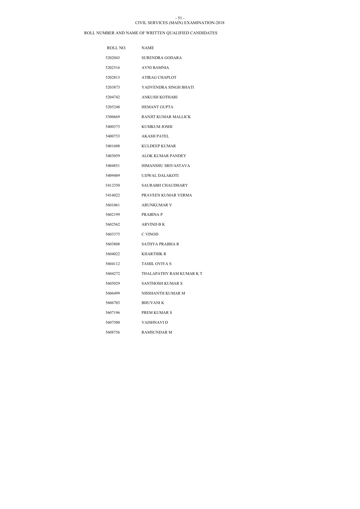#### CIVIL SERVICES (MAIN) EXAMINATION-2018 - 51 -

| ROLL NO. | <b>NAME</b>                |
|----------|----------------------------|
| 5202043  | SURENDRA GODARA            |
| 5202516  | AVNI BAMNIA                |
| 5202813  | ATIRAG CHAPLOT             |
| 5203873  | YADVENDRA SINGH BHATI      |
| 5204742  | ANKUSH KOTHARI             |
| 5205248  | <b>HEMANT GUPTA</b>        |
| 5300669  | RANJIT KUMAR MALLICK       |
| 5400373  | KUMKUM JOSHI               |
| 5400753  | <b>AKASH PATEL</b>         |
| 5401608  | <b>KULDEEP KUMAR</b>       |
| 5403059  | ALOK KUMAR PANDEY          |
| 5404851  | <b>HIMANSHU SRIVASTAVA</b> |
| 5409489  | UJJWAL DALAKOTI            |
| 5412350  | SAURABH CHAUDHARY          |
| 5416022  | PRAVEEN KUMAR VERMA        |
| 5601061  | <b>ARUNKUMAR V</b>         |
| 5602199  | PRABINA P                  |
| 5602562  | ARVIND B K                 |
| 5603375  | C VINOD                    |
| 5603808  | SATHYA PRABHA R            |
| 5604022  | <b>KHARTHIK R</b>          |
| 5604112  | <b>TAMIL OVIYA S</b>       |
| 5604272  | THALAPATHY RAM KUMAR K T   |
| 5605029  | SANTHOSH KUMAR S           |
| 5606499  | NISSHANTH KUMAR M          |
| 5606703  | <b>BHUVANI K</b>           |
| 5607196  | PREM KUMAR S               |
| 5607500  | VAISHNAVI D                |
| 5608756  | <b>RAMSUNDAR M</b>         |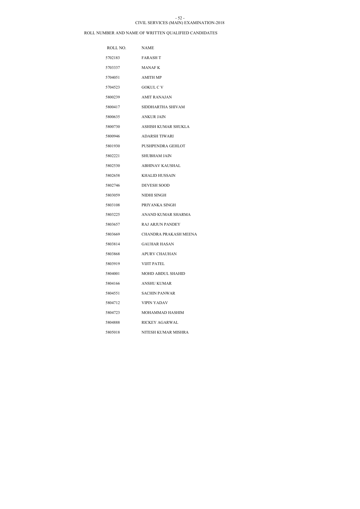#### CIVIL SERVICES (MAIN) EXAMINATION-2018 - 52 -

| ROLL NO. | <b>NAME</b>                  |
|----------|------------------------------|
| 5702183  | <b>FARASH T</b>              |
| 5703337  | MANAF K                      |
| 5704051  | <b>AMITH MP</b>              |
| 5704523  | <b>GOKUL C V</b>             |
| 5800239  | <b>AMIT RANAJAN</b>          |
| 5800417  | SIDDHARTHA SHIVAM            |
| 5800635  | ANKUR JAIN                   |
| 5800730  | ASHISH KUMAR SHUKLA          |
| 5800946  | <b>ADARSH TIWARI</b>         |
| 5801930  | PUSHPENDRA GEHLOT            |
| 5802221  | <b>SHUBHAM JAIN</b>          |
| 5802530  | <b>ABHINAV KAUSHAL</b>       |
| 5802658  | <b>KHALID HUSSAIN</b>        |
| 5802746  | <b>DEVESH SOOD</b>           |
| 5803059  | NIDHI SINGH                  |
| 5803108  | PRIYANKA SINGH               |
| 5803225  | ANAND KUMAR SHARMA           |
| 5803657  | <b>RAJ ARJUN PANDEY</b>      |
| 5803669  | <b>CHANDRA PRAKASH MEENA</b> |
| 5803814  | <b>GAUHAR HASAN</b>          |
| 5803868  | <b>APURV CHAUHAN</b>         |
| 5803919  | <b>VIJIT PATEL</b>           |
| 5804001  | MOHD ABDUL SHAHID            |
| 5804166  | <b>ANSHU KUMAR</b>           |
| 5804551  | SACHIN PANWAR                |
| 5804712  | <b>VIPIN YADAV</b>           |
| 5804723  | MOHAMMAD HASHIM              |
| 5804888  | <b>RICKEY AGARWAL</b>        |
| 5805018  | NITESH KUMAR MISHRA          |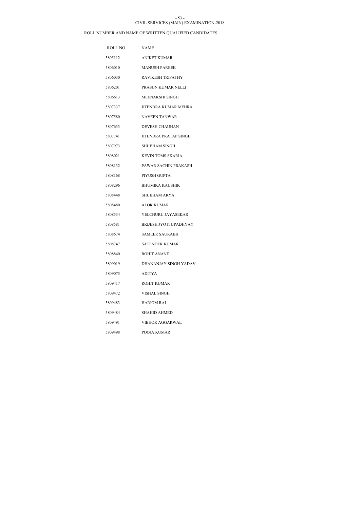#### CIVIL SERVICES (MAIN) EXAMINATION-2018 - 53 -

| ROLL NO. | <b>NAME</b>                   |
|----------|-------------------------------|
| 5805112  | <b>ANIKET KUMAR</b>           |
| 5806010  | <b>MANUSH PAREEK</b>          |
| 5806030  | <b>RAVIKESH TRIPATHY</b>      |
| 5806201  | PRASUN KUMAR NELLI            |
| 5806613  | MEENAKSHI SINGH               |
| 5807337  | <b>JITENDRA KUMAR MEHRA</b>   |
| 5807580  | <b>NAVEEN TANWAR</b>          |
| 5807633  | <b>DEVESH CHAUHAN</b>         |
| 5807741  | <b>JITENDRA PRATAP SINGH</b>  |
| 5807973  | SHUBHAM SINGH                 |
| 5808021  | <b>KEVIN TOMS SKARIA</b>      |
| 5808132  | PAWAR SACHIN PRAKASH          |
| 5808168  | PIYUSH GUPTA                  |
| 5808296  | <b>BHUMIKA KAUSHIK</b>        |
| 5808448  | SHUBHAM ARYA                  |
| 5808480  | <b>ALOK KUMAR</b>             |
| 5808534  | YELCHURU JAYASEKAR            |
| 5808581  | <b>BRIJESH JYOTI UPADHYAY</b> |
| 5808674  | <b>SAMEER SAURABH</b>         |
| 5808747  | SATENDER KUMAR                |
| 5808840  | ROHIT ANAND                   |
| 5809019  | DHANANJAY SINGH YADAV         |
| 5809075  | <b>ADITYA</b>                 |
| 5809417  | ROHIT KUMAR                   |
| 5809472  | VISHAL SINGH                  |
| 5809483  | <b>HARIOM RAI</b>             |
| 5809484  | <b>SHAHID AHMED</b>           |
| 5809491  | VIBHOR AGGARWAL               |
| 5809498  | POOJA KUMAR                   |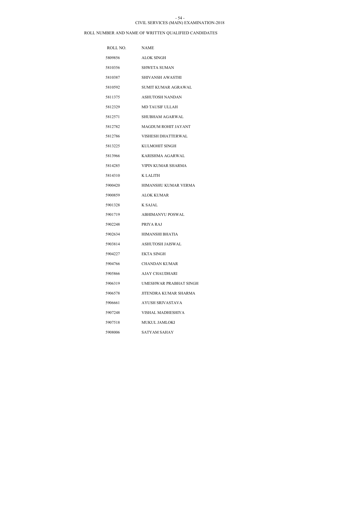### CIVIL SERVICES (MAIN) EXAMINATION-2018 - 54 -

| ROLL NO. | <b>NAME</b>             |
|----------|-------------------------|
| 5809856  | <b>ALOK SINGH</b>       |
| 5810356  | <b>SHWETA SUMAN</b>     |
| 5810387  | <b>SHIVANSH AWASTHI</b> |
| 5810592  | SUMIT KUMAR AGRAWAL     |
| 5811375  | ASHUTOSH NANDAN         |
| 5812329  | <b>MD TAUSIF ULLAH</b>  |
| 5812571  | SHUBHAM AGARWAL         |
| 5812782  | MAGDUM ROHIT JAYANT     |
| 5812786  | VISHESH DHATTERWAL      |
| 5813225  | KULMOHIT SINGH          |
| 5813966  | KARISHMA AGARWAL        |
| 5814285  | VIPIN KUMAR SHARMA      |
| 5814310  | K LALITH                |
| 5900420  | HIMANSHU KUMAR VERMA    |
| 5900859  | <b>ALOK KUMAR</b>       |
| 5901328  | K SAJAL                 |
| 5901719  | <b>ABHIMANYU POSWAL</b> |
| 5902248  | PRIYA RAJ               |
| 5902634  | HIMANSHI BHATIA         |
| 5903814  | ASHUTOSH JAISWAL        |
| 5904227  | <b>EKTA SINGH</b>       |
| 5904766  | <b>CHANDAN KUMAR</b>    |
| 5905866  | AJAY CHAUDHARI          |
| 5906319  | UMESHWAR PRABHAT SINGH  |
| 5906578  | JITENDRA KUMAR SHARMA   |
| 5906661  | AYUSH SRIVASTAVA        |
| 5907248  | VISHAL MADHESHIYA       |
| 5907518  | <b>MUKUL JAMLOKI</b>    |
| 5908006  | SATYAM SAHAY            |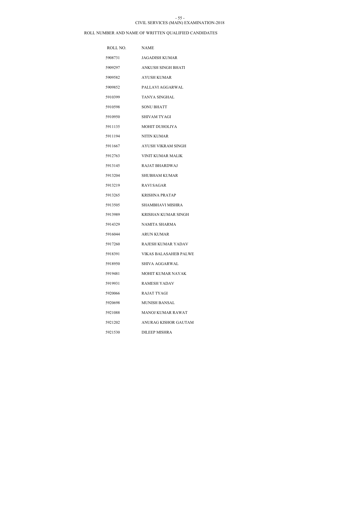#### CIVIL SERVICES (MAIN) EXAMINATION-2018 - 55 -

| ROLL NO. | <b>NAME</b>               |
|----------|---------------------------|
| 5908731  | <b>JAGADISH KUMAR</b>     |
| 5909297  | <b>ANKUSH SINGH BHATI</b> |
| 5909582  | AYUSH KUMAR               |
| 5909852  | PALLAVI AGGARWAL          |
| 5910399  | <b>TANYA SINGHAL</b>      |
| 5910598  | <b>SONU BHATT</b>         |
| 5910950  | SHIVAM TYAGI              |
| 5911135  | <b>MOHIT DUHOLIYA</b>     |
| 5911194  | NITIN KUMAR               |
| 5911667  | AYUSH VIKRAM SINGH        |
| 5912763  | VINIT KUMAR MALIK         |
| 5913145  | RAJAT BHARDWAJ            |
| 5913204  | <b>SHUBHAM KUMAR</b>      |
| 5913219  | <b>RAVI SAGAR</b>         |
| 5913265  | KRISHNA PRATAP            |
| 5913505  | SHAMBHAVI MISHRA          |
| 5913989  | KRISHAN KUMAR SINGH       |
| 5914329  | NAMITA SHARMA             |
| 5916044  | ARUN KUMAR                |
| 5917260  | RAJESH KUMAR YADAV        |
| 5918391  | VIKAS BALASAHEB PALWE     |
| 5918950  | SHIVA AGGARWAL            |
| 5919481  | MOHIT KUMAR NAYAK         |
| 5919931  | RAMESH YADAV              |
| 5920066  | RAJAT TYAGI               |
| 5920698  | MUNISH BANSAL             |
| 5921088  | MANOJ KUMAR RAWAT         |
| 5921202  | ANURAG KISHOR GAUTAM      |
| 5921530  | <b>DILEEP MISHRA</b>      |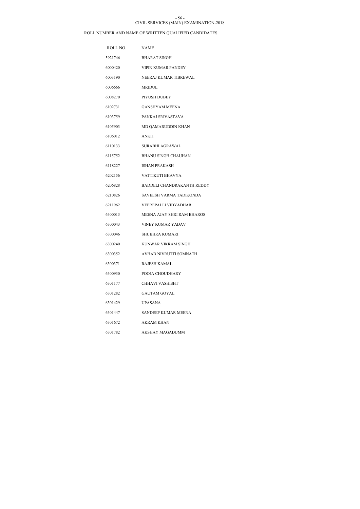#### CIVIL SERVICES (MAIN) EXAMINATION-2018 - 56 -

| ROLL NO. | <b>NAME</b>                |
|----------|----------------------------|
| 5921746  | <b>BHARAT SINGH</b>        |
| 6000420  | VIPIN KUMAR PANDEY         |
| 6003190  | NEERAJ KUMAR TIBREWAL      |
| 6006666  | MRIDUL                     |
| 6008270  | PIYUSH DUBEY               |
| 6102731  | <b>GANSHYAM MEENA</b>      |
| 6103759  | PANKAJ SRIVASTAVA          |
| 6105903  | MD QAMARUDDIN KHAN         |
| 6106012  | <b>ANKIT</b>               |
| 6110133  | <b>SURABHI AGRAWAL</b>     |
| 6115752  | <b>BHANU SINGH CHAUHAN</b> |
| 6118227  | <b>ISHAN PRAKASH</b>       |
| 6202156  | VATTIKUTI BHAVYA           |
| 6206828  | BADDELI CHANDRAKANTH REDDY |
| 6210826  | SAVEESH VARMA TADIKONDA    |
| 6211962  | VEEREPALLI VIDYADHAR       |
| 6300013  | MEENA AJAY SHRI RAM BHAROS |
| 6300043  | <b>VINEY KUMAR YADAV</b>   |
| 6300046  | <b>SHUBHRA KUMARI</b>      |
| 6300240  | KUNWAR VIKRAM SINGH        |
| 6300352  | AVHAD NIVRUTTI SOMNATH     |
| 6300371  | <b>RAJESH KAMAL</b>        |
| 6300930  | POOJA CHOUDHARY            |
| 6301177  | CHHAVI VASHISHT            |
| 6301282  | GAUTAM GOYAL               |
| 6301429  | <b>UPASANA</b>             |
| 6301447  | SANDEEP KUMAR MEENA        |
| 6301672  | AKRAM KHAN                 |
| 6301782  | AKSHAY MAGADUMM            |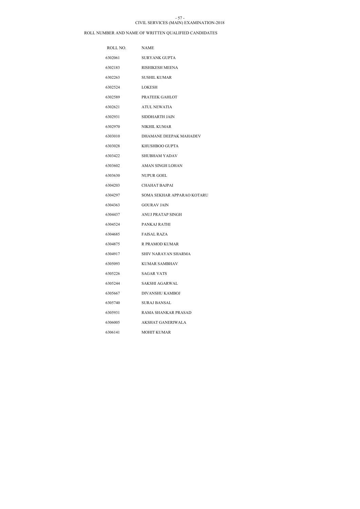#### CIVIL SERVICES (MAIN) EXAMINATION-2018 - 57 -

| ROLL NO. | <b>NAME</b>                |
|----------|----------------------------|
| 6302061  | <b>SURYANK GUPTA</b>       |
| 6302183  | RISHIKESH MEENA            |
| 6302263  | <b>SUSHIL KUMAR</b>        |
| 6302524  | <b>LOKESH</b>              |
| 6302589  | PRATEEK GAHLOT             |
| 6302621  | <b>ATUL NEWATIA</b>        |
| 6302931  | SIDDHARTH JAIN             |
| 6302970  | NIKHIL KUMAR               |
| 6303010  | DHAMANE DEEPAK MAHADEV     |
| 6303028  | KHUSHBOO GUPTA             |
| 6303422  | <b>SHUBHAM YADAV</b>       |
| 6303602  | AMAN SINGH LOHAN           |
| 6303630  | <b>NUPUR GOEL</b>          |
| 6304203  | <b>CHAHAT BAJPAI</b>       |
| 6304297  | SOMA SEKHAR APPARAO KOTARU |
| 6304363  | <b>GOURAV JAIN</b>         |
| 6304437  | ANUJ PRATAP SINGH          |
| 6304524  | PANKAJ RATHI               |
| 6304685  | <b>FAISAL RAZA</b>         |
| 6304875  | R PRAMOD KUMAR             |
| 6304917  | <b>SHIV NARAYAN SHARMA</b> |
| 6305093  | KUMAR SAMBHAV              |
| 6305226  | <b>SAGAR VATS</b>          |
| 6305244  | SAKSHI AGARWAL             |
| 6305667  | DIVANSHU KAMBOJ            |
| 6305740  | SURAJ BANSAL               |
| 6305931  | RAMA SHANKAR PRASAD        |
| 6306005  | AKSHAT GANERIWALA          |
| 6306141  | <b>MOHIT KUMAR</b>         |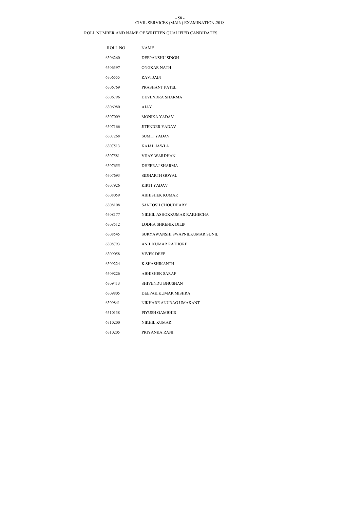#### CIVIL SERVICES (MAIN) EXAMINATION-2018 - 58 -

| ROLL NO. | <b>NAME</b>                    |
|----------|--------------------------------|
| 6306260  | DEEPANSHU SINGH                |
| 6306397  | <b>ONGKAR NATH</b>             |
| 6306555  | <b>RAVIJAIN</b>                |
| 6306769  | PRASHANT PATEL                 |
| 6306796  | DEVENDRA SHARMA                |
| 6306980  | <b>AJAY</b>                    |
| 6307009  | <b>MONIKA YADAV</b>            |
| 6307166  | <b>JITENDER YADAV</b>          |
| 6307268  | <b>SUMIT YADAV</b>             |
| 6307513  | <b>KAJAL JAWLA</b>             |
| 6307581  | VIJAY WARDHAN                  |
| 6307655  | DHEERAJ SHARMA                 |
| 6307693  | SIDHARTH GOYAL                 |
| 6307926  | <b>KIRTI YADAV</b>             |
| 6308059  | <b>ABHISHEK KUMAR</b>          |
| 6308108  | SANTOSH CHOUDHARY              |
| 6308177  | NIKHIL ASHOKKUMAR RAKHECHA     |
| 6308512  | LODHA SHRENIK DILIP            |
| 6308545  | SURYAWANSHI SWAPNILKUMAR SUNIL |
| 6308793  | ANIL KUMAR RATHORE             |
| 6309058  | <b>VIVEK DEEP</b>              |
| 6309224  | K SHASHIKANTH                  |
| 6309226  | <b>ABHISHEK SARAF</b>          |
| 6309413  | <b>SHIVENDU BHUSHAN</b>        |
| 6309805  | DEEPAK KUMAR MISHRA            |
| 6309841  | NIKHARE ANURAG UMAKANT         |
| 6310138  | PIYUSH GAMBHIR                 |
| 6310200  | NIKHIL KUMAR                   |
| 6310205  | PRIYANKA RANI                  |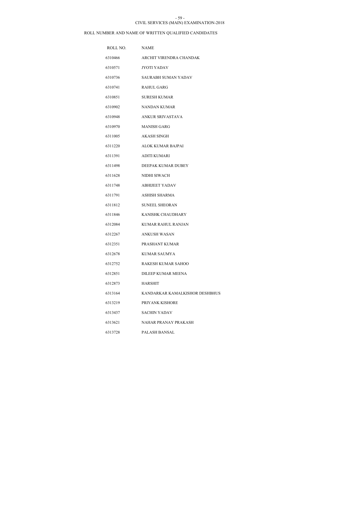### CIVIL SERVICES (MAIN) EXAMINATION-2018 - 59 -

| ROLL NO. | <b>NAME</b>                    |
|----------|--------------------------------|
| 6310466  | ARCHIT VIRENDRA CHANDAK        |
| 6310571  | JYOTI YADAV                    |
| 6310736  | SAURABH SUMAN YADAV            |
| 6310741  | RAHUL GARG                     |
| 6310851  | <b>SURESH KUMAR</b>            |
| 6310902  | <b>NANDAN KUMAR</b>            |
| 6310948  | ANKUR SRIVASTAVA               |
| 6310970  | <b>MANISH GARG</b>             |
| 6311005  | AKASH SINGH                    |
| 6311220  | ALOK KUMAR BAJPAI              |
| 6311391  | <b>ADITI KUMARI</b>            |
| 6311498  | DEEPAK KUMAR DUBEY             |
| 6311628  | NIDHI SIWACH                   |
| 6311748  | <b>ABHIJEET YADAV</b>          |
| 6311791  | <b>ASHISH SHARMA</b>           |
| 6311812  | <b>SUNEEL SHEORAN</b>          |
| 6311846  | KANISHK CHAUDHARY              |
| 6312084  | KUMAR RAHUL RANJAN             |
| 6312267  | ANKUSH WASAN                   |
| 6312351  | PRASHANT KUMAR                 |
| 6312678  | KUMAR SAUMYA                   |
| 6312752  | <b>RAKESH KUMAR SAHOO</b>      |
| 6312851  | DILEEP KUMAR MEENA             |
| 6312873  | <b>HARSHIT</b>                 |
| 6313164  | KANDARKAR KAMALKISHOR DESHBHUS |
| 6313219  | PRIYANK KISHORE                |
| 6313437  | <b>SACHIN YADAV</b>            |
| 6313621  | NAHAR PRANAY PRAKASH           |
| 6313728  | PALASH BANSAL                  |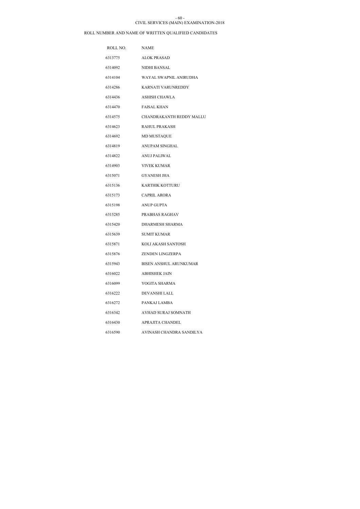### CIVIL SERVICES (MAIN) EXAMINATION-2018 - 60 -

| ROLL NO. | <b>NAME</b>                   |
|----------|-------------------------------|
| 6313775  | ALOK PRASAD                   |
| 6314092  | NIDHI BANSAL                  |
| 6314104  | WAYAL SWAPNIL ANIRUDHA        |
| 6314286  | KARNATI VARUNREDDY            |
| 6314436  | <b>ASHISH CHAWLA</b>          |
| 6314470  | <b>FAISAL KHAN</b>            |
| 6314575  | CHANDRAKANTH REDDY MALLU      |
| 6314623  | RAHUL PRAKASH                 |
| 6314692  | <b>MD MUSTAQUE</b>            |
| 6314819  | ANUPAM SINGHAL                |
| 6314822  | <b>ANUJ PALIWAL</b>           |
| 6314903  | <b>VIVEK KUMAR</b>            |
| 6315071  | <b>GYANESH JHA</b>            |
| 6315136  | KARTHIK KOTTURU               |
| 6315173  | <b>CAPRIL ARORA</b>           |
| 6315198  | <b>ANUP GUPTA</b>             |
| 6315285  | PRABHAS RAGHAV                |
| 6315420  | <b>DHARMESH SHARMA</b>        |
| 6315639  | <b>SUMIT KUMAR</b>            |
| 6315871  | KOLI AKASH SANTOSH            |
| 6315876  | <b>ZENDEN LINGZERPA</b>       |
| 6315943  | <b>BISEN ANSHUL ARUNKUMAR</b> |
| 6316022  | ABHISHEK JAIN                 |
| 6316099  | YOGITA SHARMA                 |
| 6316222  | DEVANSHI LALL                 |
| 6316272  | PANKAJ LAMBA                  |
| 6316342  | AVHAD SURAJ SOMNATH           |
| 6316430  | APRAJITA CHANDEL              |
| 6316590  | AVINASH CHANDRA SANDILYA      |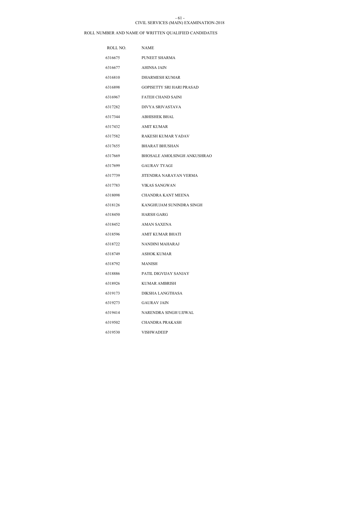#### CIVIL SERVICES (MAIN) EXAMINATION-2018 - 61 -

| ROLL NO. | <b>NAME</b>                      |
|----------|----------------------------------|
| 6316675  | PUNEET SHARMA                    |
| 6316677  | <b>AHINSA JAIN</b>               |
| 6316810  | <b>DHARMESH KUMAR</b>            |
| 6316898  | <b>GOPISETTY SRI HARI PRASAD</b> |
| 6316967  | <b>FATEH CHAND SAINI</b>         |
| 6317282  | DIVYA SRIVASTAVA                 |
| 6317344  | <b>ABHISHEK BHAL</b>             |
| 6317432  | AMIT KUMAR                       |
| 6317582  | RAKESH KUMAR YADAV               |
| 6317655  | <b>BHARAT BHUSHAN</b>            |
| 6317669  | BHOSALE AMOLSINGH ANKUSHRAO      |
| 6317699  | <b>GAURAV TYAGI</b>              |
| 6317739  | JITENDRA NARAYAN VERMA           |
| 6317783  | VIKAS SANGWAN                    |
| 6318098  | CHANDRA KANT MEENA               |
| 6318126  | KANGHUJAM SUNINDRA SINGH         |
| 6318450  | <b>HARSH GARG</b>                |
| 6318452  | AMAN SAXENA                      |
| 6318596  | <b>AMIT KUMAR BHATI</b>          |
| 6318722  | NANDINI MAHARAJ                  |
| 6318749  | <b>ASHOK KUMAR</b>               |
| 6318792  | MANISH                           |
| 6318886  | PATIL DIGVIJAY SANJAY            |
| 6318926  | KUMAR AMBRISH                    |
| 6319173  | DIKSHA LANGTHASA                 |
| 6319273  | <b>GAURAV JAIN</b>               |
| 6319414  | NARENDRA SINGH UJJWAL            |
| 6319502  | CHANDRA PRAKASH                  |
| 6319530  | <b>VISHWADEEP</b>                |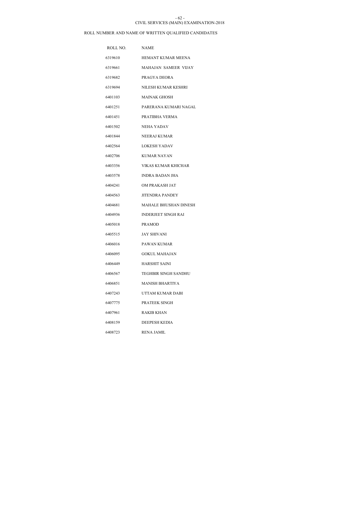#### CIVIL SERVICES (MAIN) EXAMINATION-2018 - 62 -

| ROLL NO. | <b>NAME</b>                  |
|----------|------------------------------|
| 6319610  | HEMANT KUMAR MEENA           |
| 6319661  | MAHAJAN SAMEER VIJAY         |
| 6319682  | PRAGYA DEORA                 |
| 6319694  | NILESH KUMAR KESHRI          |
| 6401103  | <b>MAINAK GHOSH</b>          |
| 6401251  | PARERANA KUMARI NAGAL        |
| 6401451  | PRATIBHA VERMA               |
| 6401502  | NEHA YADAV                   |
| 6401844  | NEERAJ KUMAR                 |
| 6402564  | <b>LOKESH YADAV</b>          |
| 6402706  | KUMAR NAYAN                  |
| 6403356  | VIKAS KUMAR KHICHAR          |
| 6403578  | INDRA BADAN JHA              |
| 6404241  | OM PRAKASH JAT               |
| 6404563  | <b>JITENDRA PANDEY</b>       |
| 6404681  | <b>MAHALE BHUSHAN DINESH</b> |
| 6404936  | <b>INDERJEET SINGH RAI</b>   |
| 6405018  | <b>PRAMOD</b>                |
| 6405515  | <b>JAY SHIVANI</b>           |
| 6406016  | PAWAN KUMAR                  |
| 6406095  | <b>GOKUL MAHAJAN</b>         |
| 6406449  | <b>HARSHIT SAINI</b>         |
| 6406567  | <b>TEGHBIR SINGH SANDHU</b>  |
| 6406851  | MANISH BHARTIYA              |
| 6407243  | UTTAM KUMAR DABI             |
| 6407775  | PRATEEK SINGH                |
| 6407961  | RAKIB KHAN                   |
| 6408159  | <b>DEEPESH KEDIA</b>         |
| 6408723  | <b>RENA JAMIL</b>            |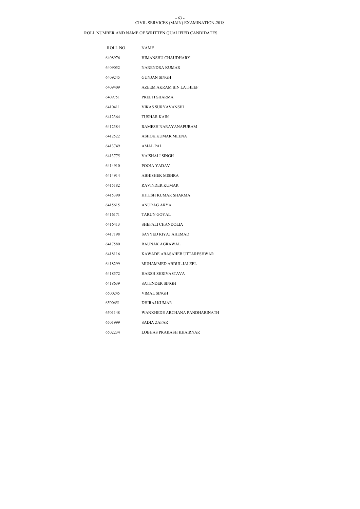### CIVIL SERVICES (MAIN) EXAMINATION-2018 - 63 -

| ROLL NO. | NAME                          |
|----------|-------------------------------|
| 6408976  | HIMANSHU CHAUDHARY            |
| 6409052  | NARENDRA KUMAR                |
| 6409245  | GUNJAN SINGH                  |
| 6409409  | AZEEM AKRAM BIN LATHEEF       |
| 6409751  | PREETI SHARMA                 |
| 6410411  | VIKAS SURYAVANSHI             |
| 6412364  | <b>TUSHAR KAIN</b>            |
| 6412384  | RAMESH NARAYANAPURAM          |
| 6412522  | <b>ASHOK KUMAR MEENA</b>      |
| 6413749  | AMAL PAL                      |
| 6413775  | <b>VAISHALI SINGH</b>         |
| 6414910  | POOJA YADAV                   |
| 6414914  | ABHISHEK MISHRA               |
| 6415182  | <b>RAVINDER KUMAR</b>         |
| 6415390  | HITESH KUMAR SHARMA           |
| 6415615  | <b>ANURAG ARYA</b>            |
| 6416171  | <b>TARUN GOYAL</b>            |
| 6416413  | SHEFALI CHANDOLIA             |
| 6417198  | SAYYED RIYAJ AHEMAD           |
| 6417580  | RAUNAK AGRAWAL                |
| 6418116  | KAWADE ABASAHEB UTTARESHWAR   |
| 6418299  | MUHAMMED ABDUL JALEEL         |
| 6418572  | <b>HARSH SHRIVASTAVA</b>      |
| 6418639  | <b>SATENDER SINGH</b>         |
| 6500245  | VIMAL SINGH                   |
| 6500651  | DHIRAJ KUMAR                  |
| 6501148  | WANKHEDE ARCHANA PANDHARINATH |
| 6501999  | SADIA ZAFAR                   |
| 6502234  | LOBHAS PRAKASH KHAIRNAR       |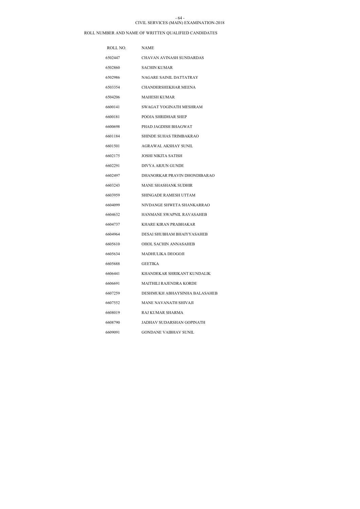### CIVIL SERVICES (MAIN) EXAMINATION-2018 - 64 -

| ROLL NO. | NAME                          |
|----------|-------------------------------|
| 6502447  | CHAVAN AVINASH SUNDARDAS      |
| 6502860  | <b>SACHIN KUMAR</b>           |
| 6502986  | NAGARE SAINIL DATTATRAY       |
| 6503354  | <b>CHANDERSHEKHAR MEENA</b>   |
| 6504206  | <b>MAHESH KUMAR</b>           |
| 6600141  | SWAGAT YOGINATH MESHRAM       |
| 6600181  | <b>POOJA SHRIDHAR SHEP</b>    |
| 6600698  | PHAD JAGDISH BHAGWAT          |
| 6601184  | SHINDE SUHAS TRIMBAKRAO       |
| 6601501  | AGRAWAL AKSHAY SUNIL          |
| 6602175  | JOSHI NIKITA SATISH           |
| 6602291  | DIVYA ARJUN GUNDE             |
| 6602497  | DHANORKAR PRAVIN DHONDIBARAO  |
| 6603243  | MANE SHASHANK SUDHIR          |
| 6603959  | SHINGADE RAMESH UTTAM         |
| 6604099  | NIVDANGE SHWETA SHANKARRAO    |
| 6604632  | HANMANE SWAPNIL RAVASAHEB     |
| 6604737  | KHARE KIRAN PRABHAKAR         |
| 6604964  | DESAI SHUBHAM BHAIYYASAHEB    |
| 6605610  | <b>OHOL SACHIN ANNASAHEB</b>  |
| 6605634  | MADHULIKA DEOGOJI             |
| 6605688  | <b>GEETIKA</b>                |
| 6606441  | KHANDEKAR SHRIKANT KUNDALIK   |
| 6606691  | MAITHILI RAJENDRA KORDE       |
| 6607259  | DESHMUKH ABHAYSINHA BALASAHEB |
| 6607552  | MANE NAVANATH SHIVAJI         |
| 6608019  | RAJ KUMAR SHARMA              |
| 6608790  | JADHAV SUDARSHAN GOPINATH     |
| 6609091  | <b>GONDANE VAIBHAV SUNIL</b>  |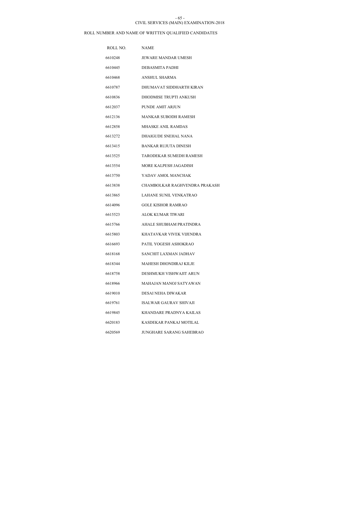#### CIVIL SERVICES (MAIN) EXAMINATION-2018 - 65 -

| ROLL NO. | <b>NAME</b>                   |
|----------|-------------------------------|
| 6610248  | JEWARE MANDAR UMESH           |
| 6610445  | DEBASMITA PADHI               |
| 6610468  | <b>ANSHUL SHARMA</b>          |
| 6610787  | DHUMAVAT SIDDHARTH KIRAN      |
| 6610836  | DHODMISE TRUPTI ANKUSH        |
| 6612037  | PUNDE AMIT ARJUN              |
| 6612136  | MANKAR SUBODH RAMESH          |
| 6612858  | <b>MHASKE ANIL RAMDAS</b>     |
| 6613272  | DHAIGUDE SNEHAL NANA          |
| 6613415  | <b>BANKAR RUJUTA DINESH</b>   |
| 6613525  | TARODEKAR SUMEDH RAMESH       |
| 6613554  | MORE KALPESH JAGADISH         |
| 6613750  | YADAV AMOL MANCHAK            |
| 6613838  | CHAMBOLKAR RAGHVENDRA PRAKASH |
| 6613865  | LAHANE SUNIL VENKATRAO        |
| 6614096  | <b>GOLE KISHOR RAMRAO</b>     |
| 6615523  | <b>ALOK KUMAR TIWARI</b>      |
| 6615766  | AHALE SHUBHAM PRATINDRA       |
| 6615803  | KHATAVKAR VIVEK VIJENDRA      |
| 6616693  | PATIL YOGESH ASHOKRAO         |
| 6618168  | SANCHIT LAXMAN JADHAV         |
| 6618344  | <b>MAHESH DHONDIRAJ KILJE</b> |
| 6618758  | DESHMUKH VISHWAJIT ARUN       |
| 6618966  | MAHAJAN MANOJ SATYAWAN        |
| 6619010  | DESAI NEHA DIWAKAR            |
| 6619761  | ISALWAR GAURAV SHIVAJI        |
| 6619845  | KHANDARE PRADNYA KAILAS       |
| 6620183  | KASDEKAR PANKAJ MOTILAL       |
| 6620569  | JUNGHARE SARANG SAHEBRAO      |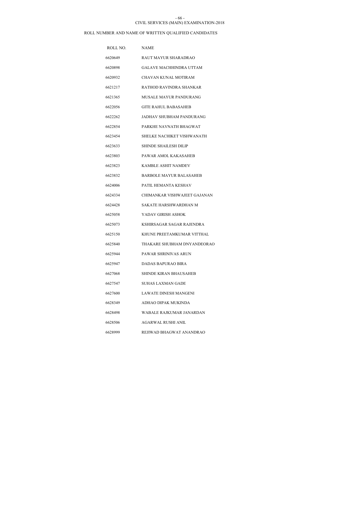#### CIVIL SERVICES (MAIN) EXAMINATION-2018 - 66 -

| ROLL NO. | <b>NAME</b>                    |
|----------|--------------------------------|
| 6620649  | RAUT MAYUR SHARADRAO           |
| 6620898  | GALAVE MACHHINDRA UTTAM        |
| 6620932  | CHAVAN KUNAL MOTIRAM           |
| 6621217  | RATHOD RAVINDRA SHANKAR        |
| 6621365  | MUSALE MAYUR PANDURANG         |
| 6622056  | <b>GITE RAHUL BABASAHEB</b>    |
| 6622262  | JADHAV SHUBHAM PANDURANG       |
| 6622854  | PARKHE NAVNATH BHAGWAT         |
| 6623454  | SHELKE NACHIKET VISHWANATH     |
| 6623633  | <b>SHINDE SHAILESH DILIP</b>   |
| 6623803  | PAWAR AMOL KAKASAHEB           |
| 6623823  | KAMBLE ASHIT NAMDEV            |
| 6623832  | <b>BARBOLE MAYUR BALASAHEB</b> |
| 6624006  | PATIL HEMANTA KESHAV           |
| 6624334  | CHIMANKAR VISHWAJEET GAJANAN   |
| 6624428  | SAKATE HARSHWARDHAN M          |
| 6625058  | YADAV GIRISH ASHOK             |
| 6625073  | KSHIRSAGAR SAGAR RAJENDRA      |
| 6625150  | KHUNE PREETAMKUMAR VITTHAL     |
| 6625840  | THAKARE SHUBHAM DNYANDEORAO    |
| 6625944  | PAWAR SHRINIVAS ARUN           |
| 6625947  | DADAS BAPURAO BIRA             |
| 6627068  | SHINDE KIRAN BHAUSAHEB         |
| 6627547  | SUHAS LAXMAN GADE              |
| 6627600  | LAWATE DINESH MANGENI          |
| 6628349  | ADHAO DIPAK MUKINDA            |
| 6628498  | WABALE RAJKUMAR JANARDAN       |
| 6628506  | AGARWAL RUSHI ANIL             |
| 6628999  | REJIWAD BHAGWAT ANANDRAO       |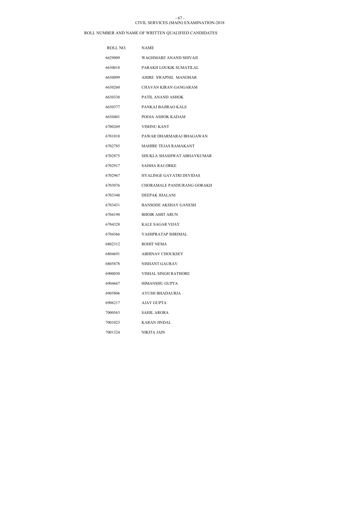#### CIVIL SERVICES (MAIN) EXAMINATION-2018 - 67 -

| ROLL NO. | <b>NAME</b>                     |
|----------|---------------------------------|
| 6629009  | WAGHMARE ANAND SHIVAJI          |
| 6630018  | PARAKH LOUKIK SUMATILAL         |
| 6630099  | AHIRE SWAPNIL MANOHAR           |
| 6630260  | CHAVAN KIRAN GANGARAM           |
| 6630338  | PATIL ANAND ASHOK               |
| 6630377  | PANKAJ BAJIRAO KALE             |
| 6630401  | POOJA ASHOK KADAM               |
| 6700269  | <b>VISHNU KANT</b>              |
| 6701018  | PAWAR DHARMARAJ BHAGAWAN        |
| 6702785  | MAHIRE TEJAS RAMAKANT           |
| 6702875  | SHUKLA SHASHWAT ABHAYKUMAR      |
| 6702917  | SAISHA RAJ ORKE                 |
| 6702967  | <b>HYALINGE GAYATRI DEVIDAS</b> |
| 6703076  | CHORAMALE PANDURANG GORAKH      |
| 6703348  | DEEPAK JHALANI                  |
| 6703431  | <b>BANSODE AKSHAY GANESH</b>    |
| 6704190  | <b>BHOIR AMIT ARUN</b>          |
| 6704328  | <b>KALE SAGAR VIJAY</b>         |
| 6704366  | YASHPRATAP SHRIMAL              |
| 6802312  | <b>ROHIT NEMA</b>               |
| 6804691  | <b>ABHINAV CHOUKSEY</b>         |
| 6805878  | NISHANT GAURAV                  |
| 6900030  | VISHAL SINGH RATHORE            |
| 6904667  | HIMANSHU GUPTA                  |
| 6905806  | AYUSH BHADAURIA                 |
| 6906217  | AJAY GUPTA                      |
| 7000563  | SAHIL ARORA                     |
| 7001023  | KARAN JINDAL                    |
| 7001324  | NIKITA JAIN                     |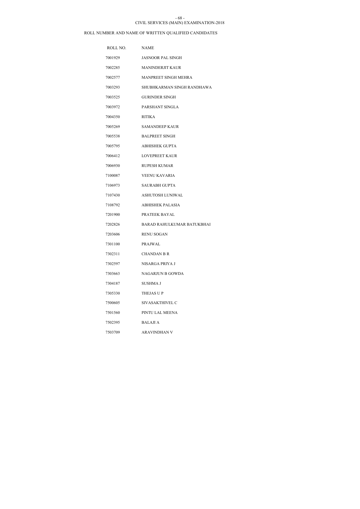### CIVIL SERVICES (MAIN) EXAMINATION-2018 - 68 -

| ROLL NO. | <b>NAME</b>                |
|----------|----------------------------|
| 7001929  | <b>JASNOOR PAL SINGH</b>   |
| 7002285  | <b>MANINDERJIT KAUR</b>    |
| 7002577  | MANPREET SINGH MEHRA       |
| 7003293  | SHUBHKARMAN SINGH RANDHAWA |
| 7003525  | <b>GURINDER SINGH</b>      |
| 7003972  | PARSHANT SINGLA            |
| 7004350  | <b>RITIKA</b>              |
| 7005269  | <b>SAMANDEEP KAUR</b>      |
| 7005538  | <b>BALPREET SINGH</b>      |
| 7005795  | <b>ABHISHEK GUPTA</b>      |
| 7006412  | <b>LOVEPREET KAUR</b>      |
| 7006930  | <b>RUPESH KUMAR</b>        |
| 7100087  | <b>VEENU KAVARIA</b>       |
| 7106973  | <b>SAURABH GUPTA</b>       |
| 7107430  | ASHUTOSH LUNIWAL           |
| 7108792  | <b>ABHISHEK PALASIA</b>    |
| 7201900  | PRATEEK BAYAL              |
| 7202826  | BARAD RAHULKUMAR BATUKBHAI |
| 7203606  | <b>RENU SOGAN</b>          |
| 7301100  | PRAJWAL                    |
| 7302311  | <b>CHANDAN B R</b>         |
| 7302597  | NISARGA PRIYA J            |
| 7303663  | NAGARJUN B GOWDA           |
| 7304187  | <b>SUSHMA J</b>            |
| 7305330  | THEJAS UP                  |
| 7500605  | SIVASAKTHIVEL C            |
| 7501560  | PINTU LAL MEENA            |
| 7502395  | <b>BALAJIA</b>             |
| 7503709  | <b>ARAVINDHAN V</b>        |